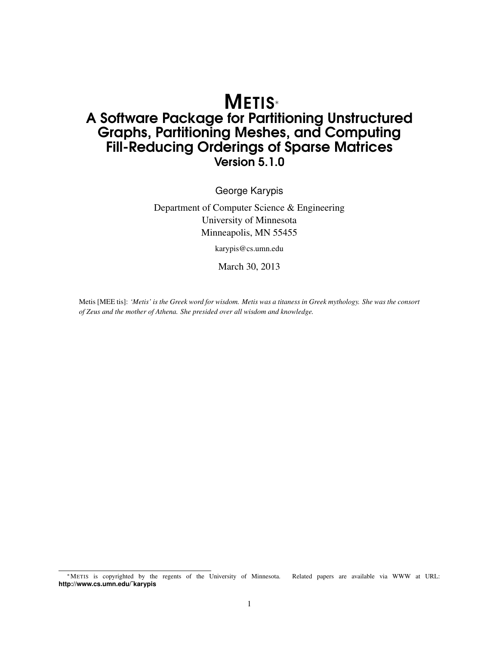# METIS<sup>∗</sup> A Software Package for Partitioning Unstructured Graphs, Partitioning Meshes, and Computing Fill-Reducing Orderings of Sparse Matrices Version 5.1.0

George Karypis

Department of Computer Science & Engineering University of Minnesota Minneapolis, MN 55455

karypis@cs.umn.edu

March 30, 2013

Metis [MEE tis]: *'Metis' is the Greek word for wisdom. Metis was a titaness in Greek mythology. She was the consort of Zeus and the mother of Athena. She presided over all wisdom and knowledge.*

<sup>∗</sup>METIS is copyrighted by the regents of the University of Minnesota. Related papers are available via WWW at URL: **http://www.cs.umn.edu/˜karypis**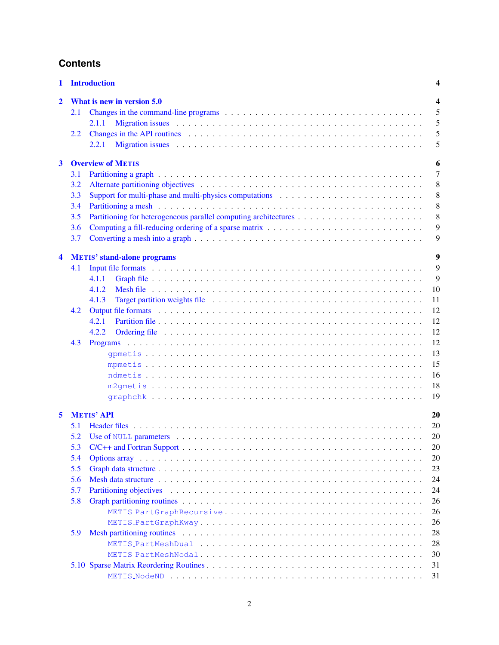# **Contents**

| 1                       | <b>Introduction</b> |                                                                                                                                                                                                                                |    |  |  |  |  |
|-------------------------|---------------------|--------------------------------------------------------------------------------------------------------------------------------------------------------------------------------------------------------------------------------|----|--|--|--|--|
| $\overline{2}$          |                     | What is new in version 5.0                                                                                                                                                                                                     |    |  |  |  |  |
|                         | 2.1                 |                                                                                                                                                                                                                                | 5  |  |  |  |  |
|                         |                     | 2.1.1                                                                                                                                                                                                                          | 5  |  |  |  |  |
|                         | 2.2                 |                                                                                                                                                                                                                                | 5  |  |  |  |  |
|                         |                     | 2.2.1                                                                                                                                                                                                                          | 5  |  |  |  |  |
| $\mathbf{3}$            |                     | <b>Overview of METIS</b>                                                                                                                                                                                                       | 6  |  |  |  |  |
|                         | 3.1                 |                                                                                                                                                                                                                                | 7  |  |  |  |  |
|                         | 3.2                 |                                                                                                                                                                                                                                | 8  |  |  |  |  |
|                         | 3.3                 | Support for multi-phase and multi-physics computations $\dots \dots \dots \dots \dots \dots \dots \dots \dots \dots$                                                                                                           | 8  |  |  |  |  |
|                         | 3.4                 |                                                                                                                                                                                                                                | 8  |  |  |  |  |
|                         | 3.5                 |                                                                                                                                                                                                                                | 8  |  |  |  |  |
|                         | 3.6                 |                                                                                                                                                                                                                                | 9  |  |  |  |  |
|                         | 3.7                 |                                                                                                                                                                                                                                | 9  |  |  |  |  |
| $\overline{\mathbf{4}}$ |                     | <b>METIS' stand-alone programs</b>                                                                                                                                                                                             | 9  |  |  |  |  |
|                         | 4.1                 |                                                                                                                                                                                                                                | 9  |  |  |  |  |
|                         |                     | 4.1.1                                                                                                                                                                                                                          | 9  |  |  |  |  |
|                         |                     | 4.1.2                                                                                                                                                                                                                          | 10 |  |  |  |  |
|                         |                     | 4.1.3                                                                                                                                                                                                                          | 11 |  |  |  |  |
|                         | 4.2                 | Output file formats response to the contract of the contract of the contract of the contract of the contract of the contract of the contract of the contract of the contract of the contract of the contract of the contract o | 12 |  |  |  |  |
|                         |                     | 4.2.1                                                                                                                                                                                                                          | 12 |  |  |  |  |
|                         |                     | 4.2.2                                                                                                                                                                                                                          | 12 |  |  |  |  |
|                         | 4.3                 |                                                                                                                                                                                                                                | 12 |  |  |  |  |
|                         |                     |                                                                                                                                                                                                                                | 13 |  |  |  |  |
|                         |                     |                                                                                                                                                                                                                                | 15 |  |  |  |  |
|                         |                     |                                                                                                                                                                                                                                | 16 |  |  |  |  |
|                         |                     |                                                                                                                                                                                                                                | 18 |  |  |  |  |
|                         |                     |                                                                                                                                                                                                                                |    |  |  |  |  |
|                         |                     |                                                                                                                                                                                                                                | 19 |  |  |  |  |
| 5                       |                     | <b>METIS' API</b>                                                                                                                                                                                                              | 20 |  |  |  |  |
|                         | 5.1                 |                                                                                                                                                                                                                                | 20 |  |  |  |  |
|                         | 5.2                 |                                                                                                                                                                                                                                | 20 |  |  |  |  |
|                         | 5.3                 |                                                                                                                                                                                                                                | 20 |  |  |  |  |
|                         | 5.4                 | Options array enterpreted to the contract of the contract of the contract of the contract of the contract of the contract of the contract of the contract of the contract of the contract of the contract of the contract of t | 20 |  |  |  |  |
|                         | 5.5                 |                                                                                                                                                                                                                                | 23 |  |  |  |  |
|                         | 5.6                 |                                                                                                                                                                                                                                | 24 |  |  |  |  |
|                         | 5.7                 |                                                                                                                                                                                                                                | 24 |  |  |  |  |
|                         | 5.8                 |                                                                                                                                                                                                                                | 26 |  |  |  |  |
|                         |                     |                                                                                                                                                                                                                                | 26 |  |  |  |  |
|                         |                     |                                                                                                                                                                                                                                | 26 |  |  |  |  |
|                         | 5.9                 |                                                                                                                                                                                                                                | 28 |  |  |  |  |
|                         |                     |                                                                                                                                                                                                                                | 28 |  |  |  |  |
|                         |                     |                                                                                                                                                                                                                                | 30 |  |  |  |  |
|                         |                     |                                                                                                                                                                                                                                | 31 |  |  |  |  |
|                         |                     |                                                                                                                                                                                                                                | 31 |  |  |  |  |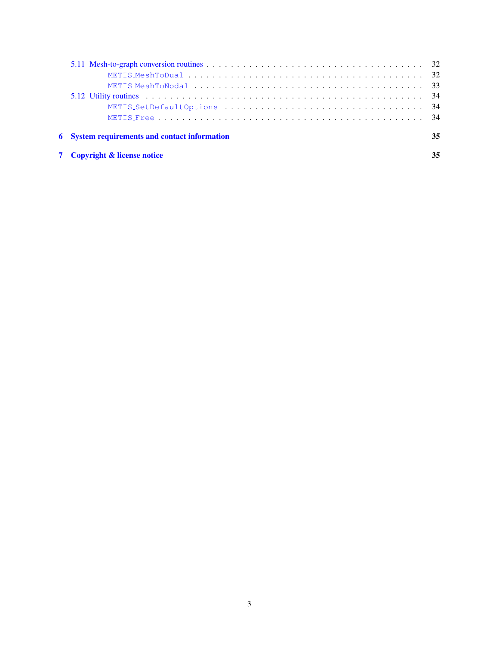| 7 Copyright & license notice                         | 35 |
|------------------------------------------------------|----|
| <b>6</b> System requirements and contact information | 35 |
|                                                      |    |
|                                                      |    |
|                                                      |    |
|                                                      |    |
|                                                      |    |
|                                                      |    |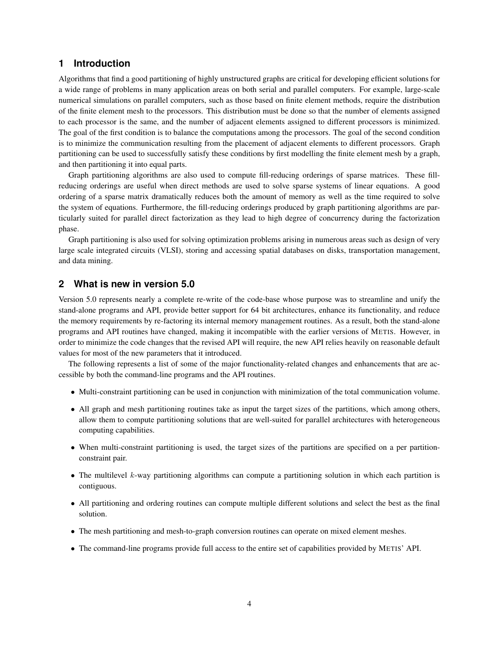# <span id="page-3-0"></span>**1 Introduction**

Algorithms that find a good partitioning of highly unstructured graphs are critical for developing efficient solutions for a wide range of problems in many application areas on both serial and parallel computers. For example, large-scale numerical simulations on parallel computers, such as those based on finite element methods, require the distribution of the finite element mesh to the processors. This distribution must be done so that the number of elements assigned to each processor is the same, and the number of adjacent elements assigned to different processors is minimized. The goal of the first condition is to balance the computations among the processors. The goal of the second condition is to minimize the communication resulting from the placement of adjacent elements to different processors. Graph partitioning can be used to successfully satisfy these conditions by first modelling the finite element mesh by a graph, and then partitioning it into equal parts.

Graph partitioning algorithms are also used to compute fill-reducing orderings of sparse matrices. These fillreducing orderings are useful when direct methods are used to solve sparse systems of linear equations. A good ordering of a sparse matrix dramatically reduces both the amount of memory as well as the time required to solve the system of equations. Furthermore, the fill-reducing orderings produced by graph partitioning algorithms are particularly suited for parallel direct factorization as they lead to high degree of concurrency during the factorization phase.

Graph partitioning is also used for solving optimization problems arising in numerous areas such as design of very large scale integrated circuits (VLSI), storing and accessing spatial databases on disks, transportation management, and data mining.

# <span id="page-3-1"></span>**2 What is new in version 5.0**

Version 5.0 represents nearly a complete re-write of the code-base whose purpose was to streamline and unify the stand-alone programs and API, provide better support for 64 bit architectures, enhance its functionality, and reduce the memory requirements by re-factoring its internal memory management routines. As a result, both the stand-alone programs and API routines have changed, making it incompatible with the earlier versions of METIS. However, in order to minimize the code changes that the revised API will require, the new API relies heavily on reasonable default values for most of the new parameters that it introduced.

The following represents a list of some of the major functionality-related changes and enhancements that are accessible by both the command-line programs and the API routines.

- Multi-constraint partitioning can be used in conjunction with minimization of the total communication volume.
- All graph and mesh partitioning routines take as input the target sizes of the partitions, which among others, allow them to compute partitioning solutions that are well-suited for parallel architectures with heterogeneous computing capabilities.
- When multi-constraint partitioning is used, the target sizes of the partitions are specified on a per partitionconstraint pair.
- The multilevel  $k$ -way partitioning algorithms can compute a partitioning solution in which each partition is contiguous.
- All partitioning and ordering routines can compute multiple different solutions and select the best as the final solution.
- The mesh partitioning and mesh-to-graph conversion routines can operate on mixed element meshes.
- The command-line programs provide full access to the entire set of capabilities provided by METIS' API.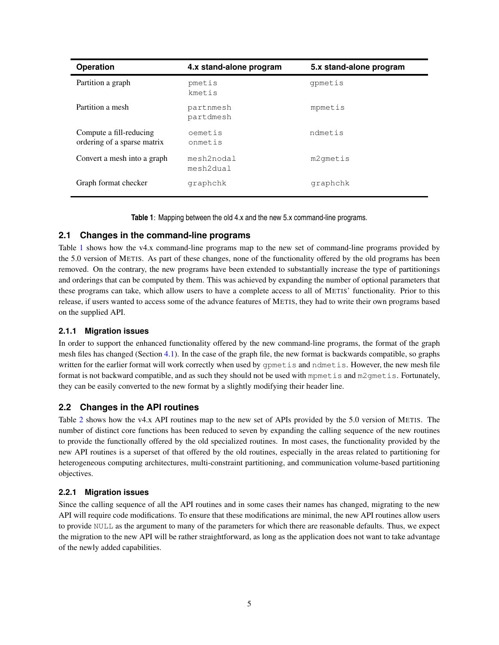| <b>Operation</b>                                       | 4.x stand-alone program | 5.x stand-alone program |
|--------------------------------------------------------|-------------------------|-------------------------|
| Partition a graph                                      | pmetis<br>kmetis        | qpmetis                 |
| Partition a mesh                                       | partnmesh<br>partdmesh  | mpmetis                 |
| Compute a fill-reducing<br>ordering of a sparse matrix | oemetis<br>onmetis      | ndmetis                 |
| Convert a mesh into a graph                            | mesh2nodal<br>mesh2dual | m2qmetis                |
| Graph format checker                                   | graphchk                | graphchk                |

<span id="page-4-4"></span>**Table 1**: Mapping between the old 4.x and the new 5.x command-line programs.

# <span id="page-4-0"></span>**2.1 Changes in the command-line programs**

Table [1](#page-4-4) shows how the v4.x command-line programs map to the new set of command-line programs provided by the 5.0 version of METIS. As part of these changes, none of the functionality offered by the old programs has been removed. On the contrary, the new programs have been extended to substantially increase the type of partitionings and orderings that can be computed by them. This was achieved by expanding the number of optional parameters that these programs can take, which allow users to have a complete access to all of METIS' functionality. Prior to this release, if users wanted to access some of the advance features of METIS, they had to write their own programs based on the supplied API.

# <span id="page-4-1"></span>**2.1.1 Migration issues**

In order to support the enhanced functionality offered by the new command-line programs, the format of the graph mesh files has changed (Section [4.1\)](#page-8-3). In the case of the graph file, the new format is backwards compatible, so graphs written for the earlier format will work correctly when used by qpmetis and ndmetis. However, the new mesh file format is not backward compatible, and as such they should not be used with mpmetis and m2gmetis. Fortunately, they can be easily converted to the new format by a slightly modifying their header line.

# <span id="page-4-2"></span>**2.2 Changes in the API routines**

Table [2](#page-5-1) shows how the v4.x API routines map to the new set of APIs provided by the 5.0 version of METIS. The number of distinct core functions has been reduced to seven by expanding the calling sequence of the new routines to provide the functionally offered by the old specialized routines. In most cases, the functionality provided by the new API routines is a superset of that offered by the old routines, especially in the areas related to partitioning for heterogeneous computing architectures, multi-constraint partitioning, and communication volume-based partitioning objectives.

# <span id="page-4-3"></span>**2.2.1 Migration issues**

Since the calling sequence of all the API routines and in some cases their names has changed, migrating to the new API will require code modifications. To ensure that these modifications are minimal, the new API routines allow users to provide NULL as the argument to many of the parameters for which there are reasonable defaults. Thus, we expect the migration to the new API will be rather straightforward, as long as the application does not want to take advantage of the newly added capabilities.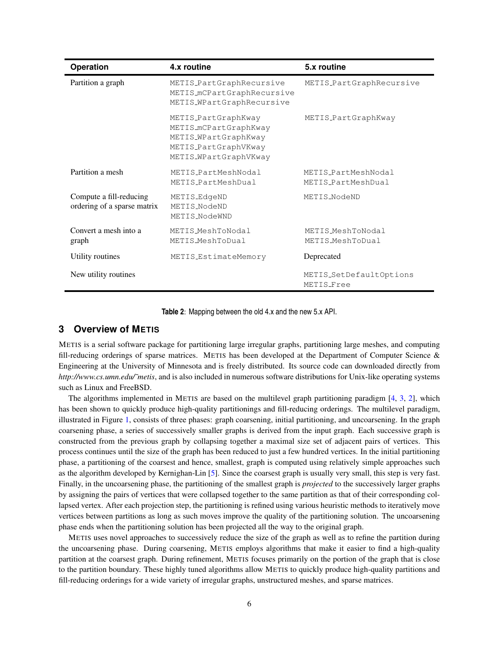| <b>Operation</b>                                       | 4.x routine                                                                                                           | 5.x routine                               |
|--------------------------------------------------------|-----------------------------------------------------------------------------------------------------------------------|-------------------------------------------|
| Partition a graph                                      | METIS_PartGraphRecursive<br>METIS_mCPartGraphRecursive<br>METIS_WPartGraphRecursive                                   | METIS_PartGraphRecursive                  |
|                                                        | METIS_PartGraphKway<br>METIS_mCPartGraphKway<br>METIS_WPartGraphKway<br>METIS_PartGraphVKway<br>METIS_WPartGraphVKway | METIS_PartGraphKway                       |
| Partition a mesh                                       | METIS_PartMeshNodal<br>METIS_PartMeshDual                                                                             | METIS_PartMeshNodal<br>METIS_PartMeshDual |
| Compute a fill-reducing<br>ordering of a sparse matrix | METIS_EdgeND<br>METIS_NodeND<br>METIS_NodeWND                                                                         | METIS_NodeND                              |
| Convert a mesh into a<br>graph                         | METIS_MeshToNodal<br>METIS_MeshToDual                                                                                 | METIS_MeshToNodal<br>METIS_MeshToDual     |
| Utility routines                                       | METIS_EstimateMemory                                                                                                  | Deprecated                                |
| New utility routines                                   |                                                                                                                       | METIS_SetDefaultOptions<br>METIS_Free     |

<span id="page-5-1"></span>**Table 2**: Mapping between the old 4.x and the new 5.x API.

# <span id="page-5-0"></span>**3 Overview of METIS**

METIS is a serial software package for partitioning large irregular graphs, partitioning large meshes, and computing fill-reducing orderings of sparse matrices. METIS has been developed at the Department of Computer Science & Engineering at the University of Minnesota and is freely distributed. Its source code can downloaded directly from *http://www.cs.umn.edu/˜metis*, and is also included in numerous software distributions for Unix-like operating systems such as Linux and FreeBSD.

The algorithms implemented in METIS are based on the multilevel graph partitioning paradigm [\[4,](#page-34-2) [3,](#page-34-3) [2\]](#page-34-4), which has been shown to quickly produce high-quality partitionings and fill-reducing orderings. The multilevel paradigm, illustrated in Figure [1,](#page-6-1) consists of three phases: graph coarsening, initial partitioning, and uncoarsening. In the graph coarsening phase, a series of successively smaller graphs is derived from the input graph. Each successive graph is constructed from the previous graph by collapsing together a maximal size set of adjacent pairs of vertices. This process continues until the size of the graph has been reduced to just a few hundred vertices. In the initial partitioning phase, a partitioning of the coarsest and hence, smallest, graph is computed using relatively simple approaches such as the algorithm developed by Kernighan-Lin [\[5\]](#page-34-5). Since the coarsest graph is usually very small, this step is very fast. Finally, in the uncoarsening phase, the partitioning of the smallest graph is *projected* to the successively larger graphs by assigning the pairs of vertices that were collapsed together to the same partition as that of their corresponding collapsed vertex. After each projection step, the partitioning is refined using various heuristic methods to iteratively move vertices between partitions as long as such moves improve the quality of the partitioning solution. The uncoarsening phase ends when the partitioning solution has been projected all the way to the original graph.

METIS uses novel approaches to successively reduce the size of the graph as well as to refine the partition during the uncoarsening phase. During coarsening, METIS employs algorithms that make it easier to find a high-quality partition at the coarsest graph. During refinement, METIS focuses primarily on the portion of the graph that is close to the partition boundary. These highly tuned algorithms allow METIS to quickly produce high-quality partitions and fill-reducing orderings for a wide variety of irregular graphs, unstructured meshes, and sparse matrices.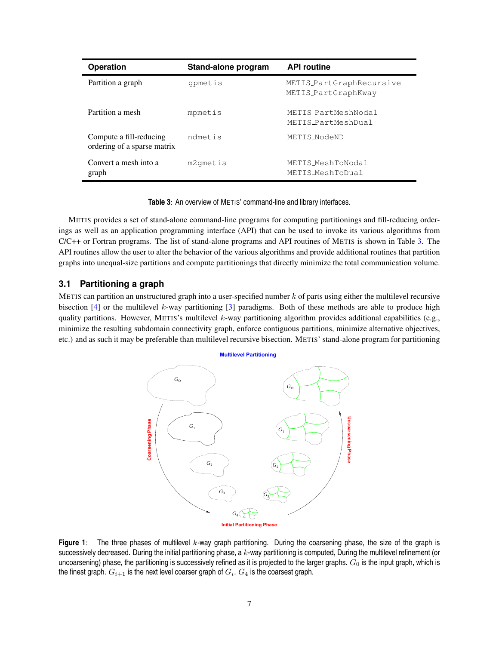| <b>Operation</b>                                       | Stand-alone program | <b>API routine</b>                              |
|--------------------------------------------------------|---------------------|-------------------------------------------------|
| Partition a graph                                      | qpmetis             | METIS_PartGraphRecursive<br>METIS_PartGraphKway |
| Partition a mesh                                       | mpmetis             | METIS_PartMeshNodal<br>METIS_PartMeshDual       |
| Compute a fill-reducing<br>ordering of a sparse matrix | ndmetis             | METIS NodeND                                    |
| Convert a mesh into a<br>graph                         | m2qmetis            | METIS_MeshToNodal<br>METIS_MeshToDual           |

<span id="page-6-2"></span>**Table 3**: An overview of METIS' command-line and library interfaces.

METIS provides a set of stand-alone command-line programs for computing partitionings and fill-reducing orderings as well as an application programming interface (API) that can be used to invoke its various algorithms from C/C++ or Fortran programs. The list of stand-alone programs and API routines of METIS is shown in Table [3.](#page-6-2) The API routines allow the user to alter the behavior of the various algorithms and provide additional routines that partition graphs into unequal-size partitions and compute partitionings that directly minimize the total communication volume.

# <span id="page-6-0"></span>**3.1 Partitioning a graph**

METIS can partition an unstructured graph into a user-specified number  $k$  of parts using either the multilevel recursive bisection [\[4\]](#page-34-2) or the multilevel k-way partitioning [\[3\]](#page-34-3) paradigms. Both of these methods are able to produce high quality partitions. However, METIS's multilevel  $k$ -way partitioning algorithm provides additional capabilities (e.g., minimize the resulting subdomain connectivity graph, enforce contiguous partitions, minimize alternative objectives, etc.) and as such it may be preferable than multilevel recursive bisection. METIS' stand-alone program for partitioning





<span id="page-6-1"></span>**Figure 1**: The three phases of multilevel k-way graph partitioning. During the coarsening phase, the size of the graph is successively decreased. During the initial partitioning phase, a k-way partitioning is computed, During the multilevel refinement (or uncoarsening) phase, the partitioning is successively refined as it is projected to the larger graphs.  $G_0$  is the input graph, which is the finest graph.  $G_{i+1}$  is the next level coarser graph of  $G_i.$   $G_4$  is the coarsest graph.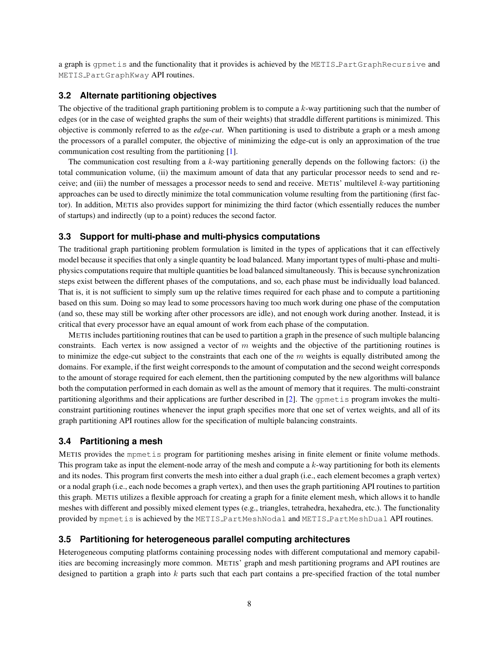a graph is gpmetis and the functionality that it provides is achieved by the METIS PartGraphRecursive and METIS\_PartGraphKway API routines.

# <span id="page-7-0"></span>**3.2 Alternate partitioning objectives**

The objective of the traditional graph partitioning problem is to compute a  $k$ -way partitioning such that the number of edges (or in the case of weighted graphs the sum of their weights) that straddle different partitions is minimized. This objective is commonly referred to as the *edge-cut*. When partitioning is used to distribute a graph or a mesh among the processors of a parallel computer, the objective of minimizing the edge-cut is only an approximation of the true communication cost resulting from the partitioning [\[1\]](#page-34-6).

The communication cost resulting from a  $k$ -way partitioning generally depends on the following factors: (i) the total communication volume, (ii) the maximum amount of data that any particular processor needs to send and receive; and (iii) the number of messages a processor needs to send and receive. METIS' multilevel k-way partitioning approaches can be used to directly minimize the total communication volume resulting from the partitioning (first factor). In addition, METIS also provides support for minimizing the third factor (which essentially reduces the number of startups) and indirectly (up to a point) reduces the second factor.

### <span id="page-7-1"></span>**3.3 Support for multi-phase and multi-physics computations**

The traditional graph partitioning problem formulation is limited in the types of applications that it can effectively model because it specifies that only a single quantity be load balanced. Many important types of multi-phase and multiphysics computations require that multiple quantities be load balanced simultaneously. This is because synchronization steps exist between the different phases of the computations, and so, each phase must be individually load balanced. That is, it is not sufficient to simply sum up the relative times required for each phase and to compute a partitioning based on this sum. Doing so may lead to some processors having too much work during one phase of the computation (and so, these may still be working after other processors are idle), and not enough work during another. Instead, it is critical that every processor have an equal amount of work from each phase of the computation.

METIS includes partitioning routines that can be used to partition a graph in the presence of such multiple balancing constraints. Each vertex is now assigned a vector of  $m$  weights and the objective of the partitioning routines is to minimize the edge-cut subject to the constraints that each one of the  $m$  weights is equally distributed among the domains. For example, if the first weight corresponds to the amount of computation and the second weight corresponds to the amount of storage required for each element, then the partitioning computed by the new algorithms will balance both the computation performed in each domain as well as the amount of memory that it requires. The multi-constraint partitioning algorithms and their applications are further described in [\[2\]](#page-34-4). The gpmetis program invokes the multiconstraint partitioning routines whenever the input graph specifies more that one set of vertex weights, and all of its graph partitioning API routines allow for the specification of multiple balancing constraints.

### <span id="page-7-2"></span>**3.4 Partitioning a mesh**

METIS provides the mpmetis program for partitioning meshes arising in finite element or finite volume methods. This program take as input the element-node array of the mesh and compute a  $k$ -way partitioning for both its elements and its nodes. This program first converts the mesh into either a dual graph (i.e., each element becomes a graph vertex) or a nodal graph (i.e., each node becomes a graph vertex), and then uses the graph partitioning API routines to partition this graph. METIS utilizes a flexible approach for creating a graph for a finite element mesh, which allows it to handle meshes with different and possibly mixed element types (e.g., triangles, tetrahedra, hexahedra, etc.). The functionality provided by mpmetis is achieved by the METIS PartMeshNodal and METIS PartMeshDual API routines.

### <span id="page-7-3"></span>**3.5 Partitioning for heterogeneous parallel computing architectures**

Heterogeneous computing platforms containing processing nodes with different computational and memory capabilities are becoming increasingly more common. METIS' graph and mesh partitioning programs and API routines are designed to partition a graph into  $k$  parts such that each part contains a pre-specified fraction of the total number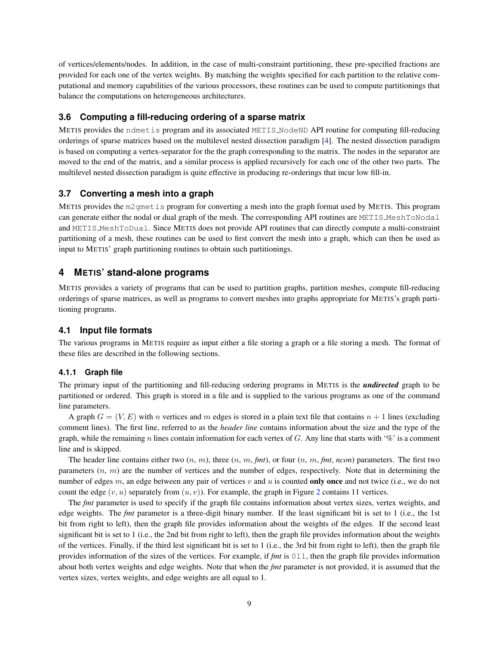of vertices/elements/nodes. In addition, in the case of multi-constraint partitioning, these pre-specified fractions are provided for each one of the vertex weights. By matching the weights specified for each partition to the relative computational and memory capabilities of the various processors, these routines can be used to compute partitionings that balance the computations on heterogeneous architectures.

### <span id="page-8-0"></span>**3.6 Computing a fill-reducing ordering of a sparse matrix**

METIS provides the ndmetis program and its associated METIS NodeND API routine for computing fill-reducing orderings of sparse matrices based on the multilevel nested dissection paradigm [\[4\]](#page-34-2). The nested dissection paradigm is based on computing a vertex-separator for the the graph corresponding to the matrix. The nodes in the separator are moved to the end of the matrix, and a similar process is applied recursively for each one of the other two parts. The multilevel nested dissection paradigm is quite effective in producing re-orderings that incur low fill-in.

# <span id="page-8-1"></span>**3.7 Converting a mesh into a graph**

METIS provides the m2gmetis program for converting a mesh into the graph format used by METIS. This program can generate either the nodal or dual graph of the mesh. The corresponding API routines are METIS MeshToNodal and METIS MeshToDual. Since METIS does not provide API routines that can directly compute a multi-constraint partitioning of a mesh, these routines can be used to first convert the mesh into a graph, which can then be used as input to METIS' graph partitioning routines to obtain such partitionings.

# <span id="page-8-2"></span>**4 METIS' stand-alone programs**

METIS provides a variety of programs that can be used to partition graphs, partition meshes, compute fill-reducing orderings of sparse matrices, as well as programs to convert meshes into graphs appropriate for METIS's graph partitioning programs.

### <span id="page-8-3"></span>**4.1 Input file formats**

The various programs in METIS require as input either a file storing a graph or a file storing a mesh. The format of these files are described in the following sections.

### <span id="page-8-4"></span>**4.1.1 Graph file**

The primary input of the partitioning and fill-reducing ordering programs in METIS is the *undirected* graph to be partitioned or ordered. This graph is stored in a file and is supplied to the various programs as one of the command line parameters.

A graph  $G = (V, E)$  with n vertices and m edges is stored in a plain text file that contains  $n + 1$  lines (excluding comment lines). The first line, referred to as the *header line* contains information about the size and the type of the graph, while the remaining n lines contain information for each vertex of G. Any line that starts with '%' is a comment line and is skipped.

The header line contains either two (n, m), three (n, m, *fmt*), or four (n, m, *fmt*, *ncon*) parameters. The first two parameters  $(n, m)$  are the number of vertices and the number of edges, respectively. Note that in determining the number of edges m, an edge between any pair of vertices v and u is counted only once and not twice (i.e., we do not count the edge  $(v, u)$  separately from  $(u, v)$ ). For example, the graph in Figure [2](#page-10-1) contains 11 vertices.

The *fmt* parameter is used to specify if the graph file contains information about vertex sizes, vertex weights, and edge weights. The *fmt* parameter is a three-digit binary number. If the least significant bit is set to 1 (i.e., the 1st bit from right to left), then the graph file provides information about the weights of the edges. If the second least significant bit is set to 1 (i.e., the 2nd bit from right to left), then the graph file provides information about the weights of the vertices. Finally, if the third lest significant bit is set to 1 (i.e., the 3rd bit from right to left), then the graph file provides information of the sizes of the vertices. For example, if *fmt* is 011, then the graph file provides information about both vertex weights and edge weights. Note that when the *fmt* parameter is not provided, it is assumed that the vertex sizes, vertex weights, and edge weights are all equal to 1.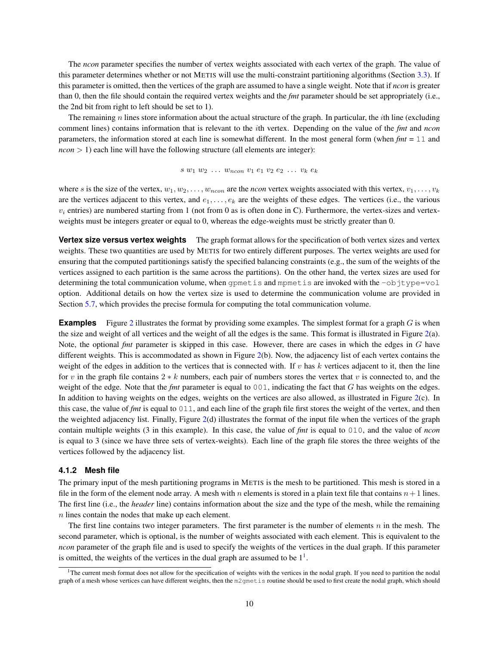The *ncon* parameter specifies the number of vertex weights associated with each vertex of the graph. The value of this parameter determines whether or not METIS will use the multi-constraint partitioning algorithms (Section [3.3\)](#page-7-1). If this parameter is omitted, then the vertices of the graph are assumed to have a single weight. Note that if *ncon* is greater than 0, then the file should contain the required vertex weights and the *fmt* parameter should be set appropriately (i.e., the 2nd bit from right to left should be set to 1).

The remaining n lines store information about the actual structure of the graph. In particular, the *i*th line (excluding comment lines) contains information that is relevant to the ith vertex. Depending on the value of the *fmt* and *ncon* parameters, the information stored at each line is somewhat different. In the most general form (when *fmt* = 11 and  $ncon > 1$ ) each line will have the following structure (all elements are integer):

$$
s w_1 w_2 \ldots w_{ncon} v_1 e_1 v_2 e_2 \ldots v_k e_k
$$

where s is the size of the vertex,  $w_1, w_2, \ldots, w_{ncon}$  are the *ncon* vertex weights associated with this vertex,  $v_1, \ldots, v_k$ are the vertices adjacent to this vertex, and  $e_1, \ldots, e_k$  are the weights of these edges. The vertices (i.e., the various  $v_i$  entries) are numbered starting from 1 (not from 0 as is often done in C). Furthermore, the vertex-sizes and vertexweights must be integers greater or equal to 0, whereas the edge-weights must be strictly greater than 0.

**Vertex size versus vertex weights** The graph format allows for the specification of both vertex sizes and vertex weights. These two quantities are used by METIS for two entirely different purposes. The vertex weights are used for ensuring that the computed partitionings satisfy the specified balancing constraints (e.g., the sum of the weights of the vertices assigned to each partition is the same across the partitions). On the other hand, the vertex sizes are used for determining the total communication volume, when qpmetis and mpmetis are invoked with the -objtype=vol option. Additional details on how the vertex size is used to determine the communication volume are provided in Section [5.7,](#page-23-1) which provides the precise formula for computing the total communication volume.

**Examples** Figure [2](#page-10-1) illustrates the format by providing some examples. The simplest format for a graph G is when the size and weight of all vertices and the weight of all the edges is the same. This format is illustrated in Figure  $2(a)$  $2(a)$ . Note, the optional *fmt* parameter is skipped in this case. However, there are cases in which the edges in G have different weights. This is accommodated as shown in Figure [2\(](#page-10-1)b). Now, the adjacency list of each vertex contains the weight of the edges in addition to the vertices that is connected with. If v has  $k$  vertices adjacent to it, then the line for v in the graph file contains  $2 * k$  numbers, each pair of numbers stores the vertex that v is connected to, and the weight of the edge. Note that the *fmt* parameter is equal to  $001$ , indicating the fact that G has weights on the edges. In addition to having weights on the edges, weights on the vertices are also allowed, as illustrated in Figure  $2(c)$  $2(c)$ . In this case, the value of *fmt* is equal to 011, and each line of the graph file first stores the weight of the vertex, and then the weighted adjacency list. Finally, Figure [2\(](#page-10-1)d) illustrates the format of the input file when the vertices of the graph contain multiple weights (3 in this example). In this case, the value of *fmt* is equal to 010, and the value of *ncon* is equal to 3 (since we have three sets of vertex-weights). Each line of the graph file stores the three weights of the vertices followed by the adjacency list.

#### <span id="page-9-0"></span>**4.1.2 Mesh file**

The primary input of the mesh partitioning programs in METIS is the mesh to be partitioned. This mesh is stored in a file in the form of the element node array. A mesh with n elements is stored in a plain text file that contains  $n+1$  lines. The first line (i.e., the *header* line) contains information about the size and the type of the mesh, while the remaining n lines contain the nodes that make up each element.

The first line contains two integer parameters. The first parameter is the number of elements  $n$  in the mesh. The second parameter, which is optional, is the number of weights associated with each element. This is equivalent to the *ncon* parameter of the graph file and is used to specify the weights of the vertices in the dual graph. If this parameter is omitted, the weights of the vertices in the dual graph are assumed to be  $1<sup>1</sup>$  $1<sup>1</sup>$ .

<span id="page-9-1"></span><sup>&</sup>lt;sup>1</sup>The current mesh format does not allow for the specification of weights with the vertices in the nodal graph. If you need to partition the nodal graph of a mesh whose vertices can have different weights, then the m2gmetis routine should be used to first create the nodal graph, which should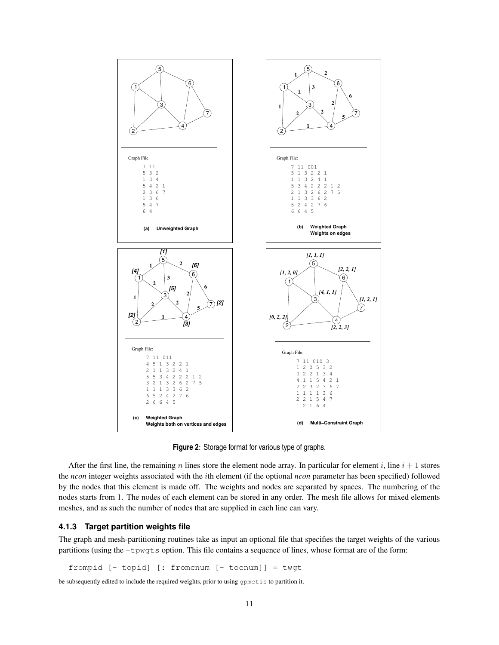

<span id="page-10-1"></span>**Figure 2**: Storage format for various type of graphs.

After the first line, the remaining n lines store the element node array. In particular for element i, line  $i + 1$  stores the *ncon* integer weights associated with the ith element (if the optional *ncon* parameter has been specified) followed by the nodes that this element is made off. The weights and nodes are separated by spaces. The numbering of the nodes starts from 1. The nodes of each element can be stored in any order. The mesh file allows for mixed elements meshes, and as such the number of nodes that are supplied in each line can vary.

### <span id="page-10-0"></span>**4.1.3 Target partition weights file**

The graph and mesh-partitioning routines take as input an optional file that specifies the target weights of the various partitions (using the -tpwgts option. This file contains a sequence of lines, whose format are of the form:

frompid [- topid] [: fromcnum [- tocnum]] = twgt

be subsequently edited to include the required weights, prior to using gpmetis to partition it.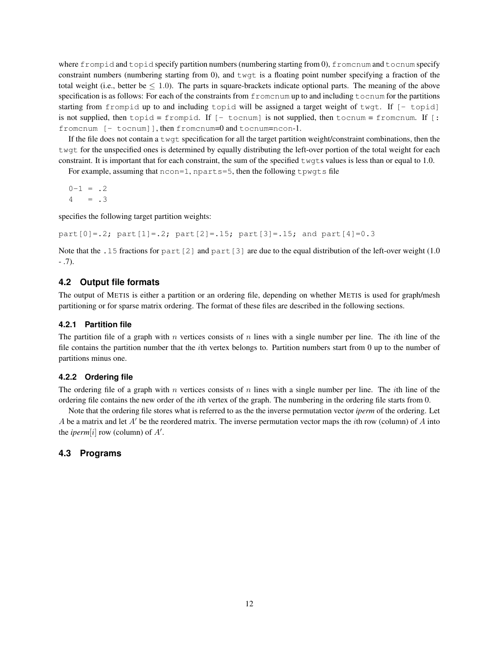where frompid and topid specify partition numbers (numbering starting from 0), from cnum and to cnum specify constraint numbers (numbering starting from 0), and  $twq\tau$  is a floating point number specifying a fraction of the total weight (i.e., better be  $\leq 1.0$ ). The parts in square-brackets indicate optional parts. The meaning of the above specification is as follows: For each of the constraints from from change to and including to cnum for the partitions starting from frompid up to and including topid will be assigned a target weight of twgt. If [- topid] is not supplied, then topid = frompid. If  $[-$  tocnum is not supplied, then tocnum = fromcnum. If  $[:$ fromcnum [- tocnum]], then fromcnum=0 and tocnum=ncon-1.

If the file does not contain a  $t$  wg $t$  specification for all the target partition weight/constraint combinations, then the twgt for the unspecified ones is determined by equally distributing the left-over portion of the total weight for each constraint. It is important that for each constraint, the sum of the specified twgts values is less than or equal to 1.0.

For example, assuming that ncon=1, nparts=5, then the following tpwgts file

 $0-1 = .2$  $4 = .3$ 

specifies the following target partition weights:

part $[0] = .2$ ; part $[1] = .2$ ; part $[2] = .15$ ; part $[3] = .15$ ; and part $[4] = 0.3$ 

Note that the .15 fractions for part [2] and part [3] are due to the equal distribution of the left-over weight (1.0) - .7).

# <span id="page-11-0"></span>**4.2 Output file formats**

The output of METIS is either a partition or an ordering file, depending on whether METIS is used for graph/mesh partitioning or for sparse matrix ordering. The format of these files are described in the following sections.

#### <span id="page-11-1"></span>**4.2.1 Partition file**

The partition file of a graph with n vertices consists of n lines with a single number per line. The *i*th line of the file contains the partition number that the *i*th vertex belongs to. Partition numbers start from 0 up to the number of partitions minus one.

# <span id="page-11-2"></span>**4.2.2 Ordering file**

The ordering file of a graph with n vertices consists of n lines with a single number per line. The *i*th line of the ordering file contains the new order of the *i*th vertex of the graph. The numbering in the ordering file starts from 0.

Note that the ordering file stores what is referred to as the the inverse permutation vector *iperm* of the ordering. Let A be a matrix and let A' be the reordered matrix. The inverse permutation vector maps the *i*th row (column) of A into the *iperm*[*i*] row (column) of  $A'$ .

### <span id="page-11-3"></span>**4.3 Programs**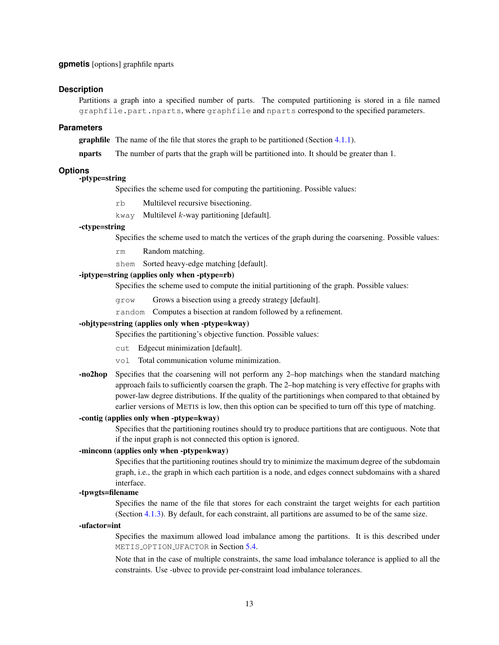#### <span id="page-12-0"></span>**gpmetis** [options] graphfile nparts

### **Description**

Partitions a graph into a specified number of parts. The computed partitioning is stored in a file named graphfile.part.nparts, where graphfile and nparts correspond to the specified parameters.

#### **Parameters**

**graphfile** The name of the file that stores the graph to be partitioned (Section  $4.1.1$ ).

nparts The number of parts that the graph will be partitioned into. It should be greater than 1.

### **Options**

# -ptype=string

Specifies the scheme used for computing the partitioning. Possible values:

rb Multilevel recursive bisectioning.

kway Multilevel  $k$ -way partitioning [default].

### -ctype=string

Specifies the scheme used to match the vertices of the graph during the coarsening. Possible values:

rm Random matching.

shem Sorted heavy-edge matching [default].

#### -iptype=string (applies only when -ptype=rb)

Specifies the scheme used to compute the initial partitioning of the graph. Possible values:

grow Grows a bisection using a greedy strategy [default].

random Computes a bisection at random followed by a refinement.

# -objtype=string (applies only when -ptype=kway)

Specifies the partitioning's objective function. Possible values:

- cut Edgecut minimization [default].
- vol Total communication volume minimization.

-no2hop Specifies that the coarsening will not perform any 2–hop matchings when the standard matching approach fails to sufficiently coarsen the graph. The 2–hop matching is very effective for graphs with power-law degree distributions. If the quality of the partitionings when compared to that obtained by earlier versions of METIS is low, then this option can be specified to turn off this type of matching.

### -contig (applies only when -ptype=kway)

Specifies that the partitioning routines should try to produce partitions that are contiguous. Note that if the input graph is not connected this option is ignored.

#### -minconn (applies only when -ptype=kway)

Specifies that the partitioning routines should try to minimize the maximum degree of the subdomain graph, i.e., the graph in which each partition is a node, and edges connect subdomains with a shared interface.

### -tpwgts=filename

Specifies the name of the file that stores for each constraint the target weights for each partition (Section [4.1.3\)](#page-10-0). By default, for each constraint, all partitions are assumed to be of the same size.

#### -ufactor=int

Specifies the maximum allowed load imbalance among the partitions. It is this described under METIS OPTION UFACTOR in Section [5.4.](#page-19-4)

Note that in the case of multiple constraints, the same load imbalance tolerance is applied to all the constraints. Use -ubvec to provide per-constraint load imbalance tolerances.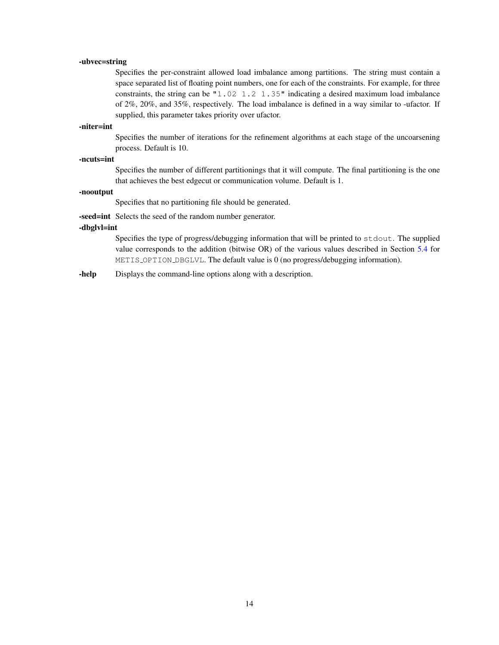#### -ubvec=string

Specifies the per-constraint allowed load imbalance among partitions. The string must contain a space separated list of floating point numbers, one for each of the constraints. For example, for three constraints, the string can be "1.02 1.2 1.35" indicating a desired maximum load imbalance of 2%, 20%, and 35%, respectively. The load imbalance is defined in a way similar to -ufactor. If supplied, this parameter takes priority over ufactor.

# -niter=int

Specifies the number of iterations for the refinement algorithms at each stage of the uncoarsening process. Default is 10.

#### -ncuts=int

Specifies the number of different partitionings that it will compute. The final partitioning is the one that achieves the best edgecut or communication volume. Default is 1.

#### -nooutput

Specifies that no partitioning file should be generated.

-seed=int Selects the seed of the random number generator.

#### -dbglvl=int

Specifies the type of progress/debugging information that will be printed to stdout. The supplied value corresponds to the addition (bitwise OR) of the various values described in Section [5.4](#page-19-4) for METIS OPTION DBGLVL. The default value is 0 (no progress/debugging information).

-help Displays the command-line options along with a description.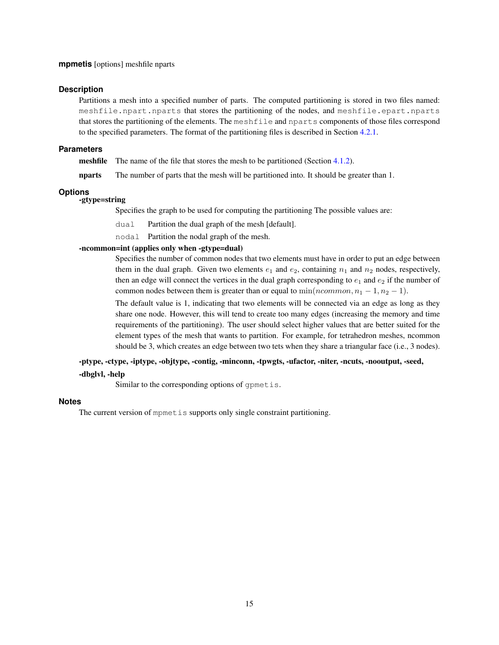#### **mpmetis** [options] meshfile nparts

### **Description**

Partitions a mesh into a specified number of parts. The computed partitioning is stored in two files named: meshfile.npart.nparts that stores the partitioning of the nodes, and meshfile.epart.nparts that stores the partitioning of the elements. The meshfile and nparts components of those files correspond to the specified parameters. The format of the partitioning files is described in Section [4.2.1.](#page-11-1)

### **Parameters**

meshfile The name of the file that stores the mesh to be partitioned (Section [4.1.2\)](#page-9-0).

nparts The number of parts that the mesh will be partitioned into. It should be greater than 1.

#### **Options**

-gtype=string

Specifies the graph to be used for computing the partitioning The possible values are:

dual Partition the dual graph of the mesh [default].

nodal Partition the nodal graph of the mesh.

# -ncommon=int (applies only when -gtype=dual)

Specifies the number of common nodes that two elements must have in order to put an edge between them in the dual graph. Given two elements  $e_1$  and  $e_2$ , containing  $n_1$  and  $n_2$  nodes, respectively, then an edge will connect the vertices in the dual graph corresponding to  $e_1$  and  $e_2$  if the number of common nodes between them is greater than or equal to  $\min(ncommon, n_1 - 1, n_2 - 1)$ .

The default value is 1, indicating that two elements will be connected via an edge as long as they share one node. However, this will tend to create too many edges (increasing the memory and time requirements of the partitioning). The user should select higher values that are better suited for the element types of the mesh that wants to partition. For example, for tetrahedron meshes, ncommon should be 3, which creates an edge between two tets when they share a triangular face (i.e., 3 nodes).

# -ptype, -ctype, -iptype, -objtype, -contig, -minconn, -tpwgts, -ufactor, -niter, -ncuts, -nooutput, -seed, -dbglvl, -help

Similar to the corresponding options of gpmetis.

### **Notes**

The current version of mpmetis supports only single constraint partitioning.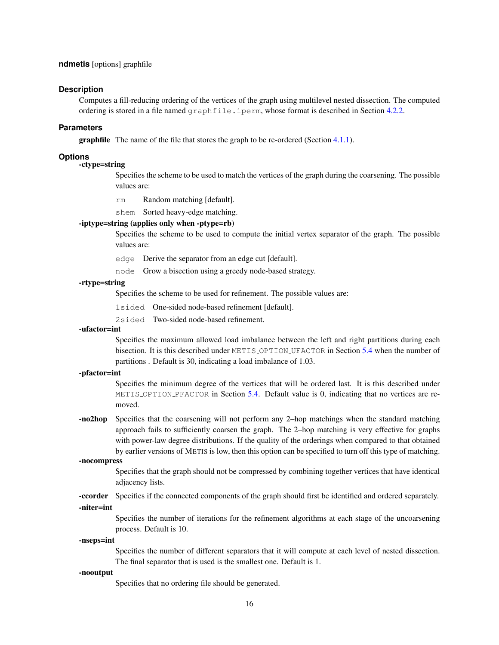#### **ndmetis** [options] graphfile

### **Description**

Computes a fill-reducing ordering of the vertices of the graph using multilevel nested dissection. The computed ordering is stored in a file named graphfile.iperm, whose format is described in Section [4.2.2.](#page-11-2)

# **Parameters**

**graphfile** The name of the file that stores the graph to be re-ordered (Section  $4.1.1$ ).

# **Options**

# -ctype=string

Specifies the scheme to be used to match the vertices of the graph during the coarsening. The possible values are:

- rm Random matching [default].
- shem Sorted heavy-edge matching.

# -iptype=string (applies only when -ptype=rb)

Specifies the scheme to be used to compute the initial vertex separator of the graph. The possible values are:

- edge Derive the separator from an edge cut [default].
- node Grow a bisection using a greedy node-based strategy.

### -rtype=string

Specifies the scheme to be used for refinement. The possible values are:

1sided One-sided node-based refinement [default].

2sided Two-sided node-based refinement.

#### -ufactor=int

Specifies the maximum allowed load imbalance between the left and right partitions during each bisection. It is this described under METIS OPTION UFACTOR in Section [5.4](#page-19-4) when the number of partitions . Default is 30, indicating a load imbalance of 1.03.

#### -pfactor=int

Specifies the minimum degree of the vertices that will be ordered last. It is this described under METIS OPTION PFACTOR in Section [5.4.](#page-19-4) Default value is 0, indicating that no vertices are removed.

-no2hop Specifies that the coarsening will not perform any 2–hop matchings when the standard matching approach fails to sufficiently coarsen the graph. The 2–hop matching is very effective for graphs with power-law degree distributions. If the quality of the orderings when compared to that obtained by earlier versions of METIS is low, then this option can be specified to turn off this type of matching.

#### -nocompress

Specifies that the graph should not be compressed by combining together vertices that have identical adjacency lists.

-ccorder Specifies if the connected components of the graph should first be identified and ordered separately.

#### -niter=int

Specifies the number of iterations for the refinement algorithms at each stage of the uncoarsening process. Default is 10.

#### -nseps=int

Specifies the number of different separators that it will compute at each level of nested dissection. The final separator that is used is the smallest one. Default is 1.

#### -nooutput

Specifies that no ordering file should be generated.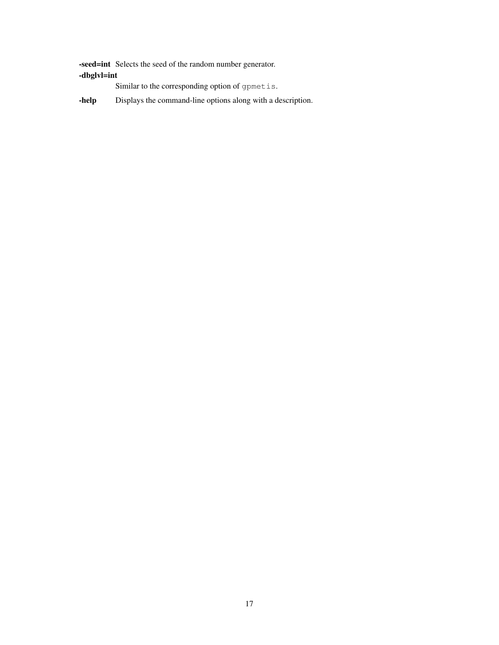-seed=int Selects the seed of the random number generator.

# -dbglvl=int

Similar to the corresponding option of gpmetis.

-help Displays the command-line options along with a description.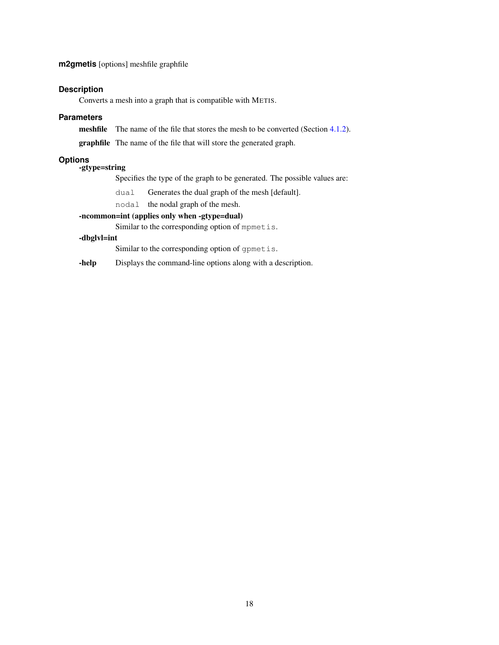**m2gmetis** [options] meshfile graphfile

# **Description**

Converts a mesh into a graph that is compatible with METIS.

# **Parameters**

meshfile The name of the file that stores the mesh to be converted (Section [4.1.2\)](#page-9-0). graphfile The name of the file that will store the generated graph.

# **Options**

# -gtype=string

Specifies the type of the graph to be generated. The possible values are:

dual Generates the dual graph of the mesh [default].

nodal the nodal graph of the mesh.

# -ncommon=int (applies only when -gtype=dual)

Similar to the corresponding option of mpmetis.

# -dbglvl=int

Similar to the corresponding option of gpmetis.

-help Displays the command-line options along with a description.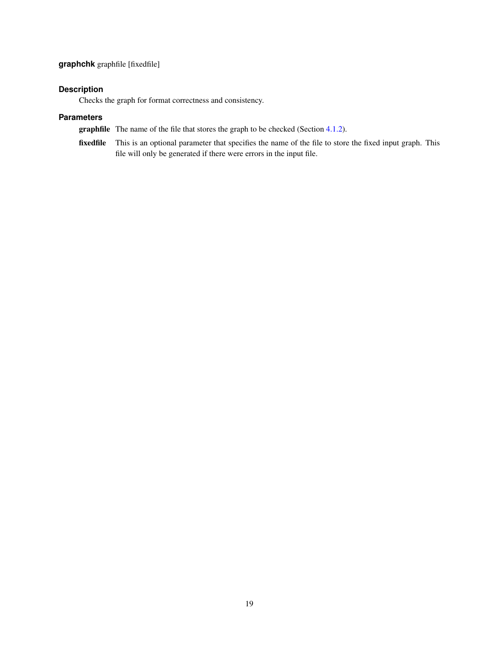# **graphchk** graphfile [fixedfile]

# **Description**

Checks the graph for format correctness and consistency.

# **Parameters**

graphfile The name of the file that stores the graph to be checked (Section [4.1.2\)](#page-9-0).

fixedfile This is an optional parameter that specifies the name of the file to store the fixed input graph. This file will only be generated if there were errors in the input file.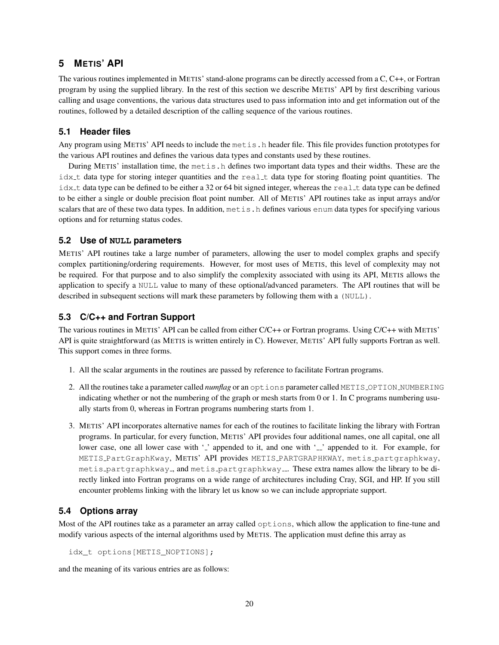# <span id="page-19-0"></span>**5 METIS' API**

The various routines implemented in METIS' stand-alone programs can be directly accessed from a C, C++, or Fortran program by using the supplied library. In the rest of this section we describe METIS' API by first describing various calling and usage conventions, the various data structures used to pass information into and get information out of the routines, followed by a detailed description of the calling sequence of the various routines.

# <span id="page-19-1"></span>**5.1 Header files**

Any program using METIS' API needs to include the metis. h header file. This file provides function prototypes for the various API routines and defines the various data types and constants used by these routines.

During METIS' installation time, the metis.h defines two important data types and their widths. These are the  $i$ dx t data type for storing integer quantities and the real t data type for storing floating point quantities. The  $idx$  t data type can be defined to be either a 32 or 64 bit signed integer, whereas the real  $\pm$  data type can be defined to be either a single or double precision float point number. All of METIS' API routines take as input arrays and/or scalars that are of these two data types. In addition, met is . h defines various enum data types for specifying various options and for returning status codes.

# <span id="page-19-2"></span>**5.2 Use of NULL parameters**

METIS' API routines take a large number of parameters, allowing the user to model complex graphs and specify complex partitioning/ordering requirements. However, for most uses of METIS, this level of complexity may not be required. For that purpose and to also simplify the complexity associated with using its API, METIS allows the application to specify a NULL value to many of these optional/advanced parameters. The API routines that will be described in subsequent sections will mark these parameters by following them with a (NULL).

# <span id="page-19-3"></span>**5.3 C/C++ and Fortran Support**

The various routines in METIS' API can be called from either C/C++ or Fortran programs. Using C/C++ with METIS' API is quite straightforward (as METIS is written entirely in C). However, METIS' API fully supports Fortran as well. This support comes in three forms.

- 1. All the scalar arguments in the routines are passed by reference to facilitate Fortran programs.
- 2. All the routines take a parameter called *numflag* or an options parameter called METIS OPTION NUMBERING indicating whether or not the numbering of the graph or mesh starts from 0 or 1. In C programs numbering usually starts from 0, whereas in Fortran programs numbering starts from 1.
- 3. METIS' API incorporates alternative names for each of the routines to facilitate linking the library with Fortran programs. In particular, for every function, METIS' API provides four additional names, one all capital, one all lower case, one all lower case with '<sub>-'</sub> appended to it, and one with '<sub>--</sub>' appended to it. For example, for METIS PartGraphKway, METIS' API provides METIS PARTGRAPHKWAY, metis partgraphkway, metis partgraphkway , and metis partgraphkway . These extra names allow the library to be directly linked into Fortran programs on a wide range of architectures including Cray, SGI, and HP. If you still encounter problems linking with the library let us know so we can include appropriate support.

# <span id="page-19-4"></span>**5.4 Options array**

Most of the API routines take as a parameter an array called options, which allow the application to fine-tune and modify various aspects of the internal algorithms used by METIS. The application must define this array as

idx\_t options[METIS\_NOPTIONS];

and the meaning of its various entries are as follows: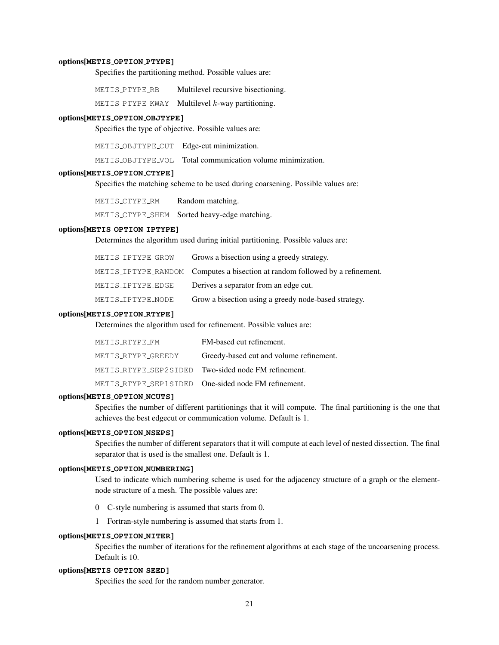#### options[**METIS OPTION PTYPE]**

Specifies the partitioning method. Possible values are:

METIS\_PTYPE\_RB Multilevel recursive bisectioning.

METIS\_PTYPE\_KWAY Multilevel  $k$ -way partitioning.

#### options[**METIS OPTION OBJTYPE]**

Specifies the type of objective. Possible values are:

METIS OBJTYPE CUT Edge-cut minimization.

METIS OBJTYPE VOL Total communication volume minimization.

#### options[**METIS OPTION CTYPE]**

Specifies the matching scheme to be used during coarsening. Possible values are:

METIS\_CTYPE\_RM Random matching.

METIS CTYPE SHEM Sorted heavy-edge matching.

#### options[**METIS OPTION IPTYPE]**

Determines the algorithm used during initial partitioning. Possible values are:

| METIS_IPTYPE_GROW | Grows a bisection using a greedy strategy.                                   |
|-------------------|------------------------------------------------------------------------------|
|                   | METIS_IPTYPE_RANDOM Computes a bisection at random followed by a refinement. |
| METIS_IPTYPE_EDGE | Derives a separator from an edge cut.                                        |
| METIS_IPTYPE_NODE | Grow a bisection using a greedy node-based strategy.                         |

#### options[**METIS OPTION RTYPE]**

Determines the algorithm used for refinement. Possible values are:

| METIS_RTYPE FM     | FM-based cut refinement.                            |
|--------------------|-----------------------------------------------------|
| METIS_RTYPE_GREEDY | Greedy-based cut and volume refinement.             |
|                    | METIS RTYPE SEP2SIDED Two-sided node FM refinement. |
|                    | METIS RTYPE SEP1SIDED One-sided node FM refinement. |

#### options[**METIS OPTION NCUTS]**

Specifies the number of different partitionings that it will compute. The final partitioning is the one that achieves the best edgecut or communication volume. Default is 1.

### options[**METIS OPTION NSEPS]**

Specifies the number of different separators that it will compute at each level of nested dissection. The final separator that is used is the smallest one. Default is 1.

#### options[**METIS OPTION NUMBERING]**

Used to indicate which numbering scheme is used for the adjacency structure of a graph or the elementnode structure of a mesh. The possible values are:

- 0 C-style numbering is assumed that starts from 0.
- 1 Fortran-style numbering is assumed that starts from 1.

#### options[**METIS OPTION NITER]**

Specifies the number of iterations for the refinement algorithms at each stage of the uncoarsening process. Default is 10.

#### options[**METIS OPTION SEED]**

Specifies the seed for the random number generator.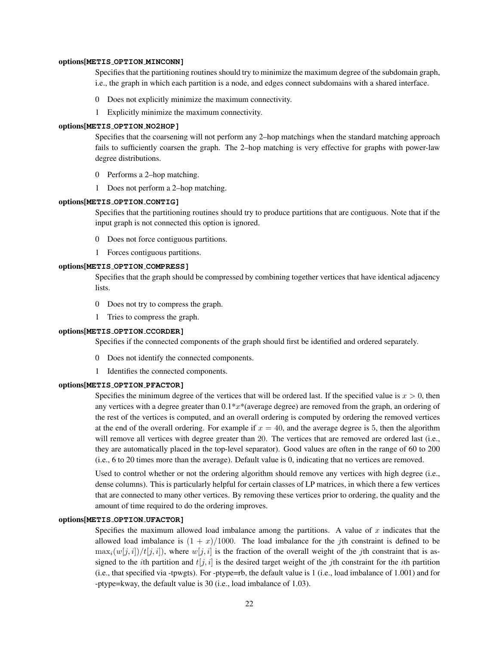#### options[**METIS OPTION MINCONN]**

Specifies that the partitioning routines should try to minimize the maximum degree of the subdomain graph, i.e., the graph in which each partition is a node, and edges connect subdomains with a shared interface.

- 0 Does not explicitly minimize the maximum connectivity.
- 1 Explicitly minimize the maximum connectivity.

#### options[**METIS OPTION NO2HOP]**

Specifies that the coarsening will not perform any 2–hop matchings when the standard matching approach fails to sufficiently coarsen the graph. The 2–hop matching is very effective for graphs with power-law degree distributions.

- 0 Performs a 2–hop matching.
- 1 Does not perform a 2–hop matching.

#### options[**METIS OPTION CONTIG]**

Specifies that the partitioning routines should try to produce partitions that are contiguous. Note that if the input graph is not connected this option is ignored.

- 0 Does not force contiguous partitions.
- 1 Forces contiguous partitions.

#### options[**METIS OPTION COMPRESS]**

Specifies that the graph should be compressed by combining together vertices that have identical adjacency lists.

- 0 Does not try to compress the graph.
- 1 Tries to compress the graph.

#### options[**METIS OPTION CCORDER]**

Specifies if the connected components of the graph should first be identified and ordered separately.

- 0 Does not identify the connected components.
- 1 Identifies the connected components.

## options[**METIS OPTION PFACTOR]**

Specifies the minimum degree of the vertices that will be ordered last. If the specified value is  $x > 0$ , then any vertices with a degree greater than  $0.1 * x *$  (average degree) are removed from the graph, an ordering of the rest of the vertices is computed, and an overall ordering is computed by ordering the removed vertices at the end of the overall ordering. For example if  $x = 40$ , and the average degree is 5, then the algorithm will remove all vertices with degree greater than 20. The vertices that are removed are ordered last (i.e., they are automatically placed in the top-level separator). Good values are often in the range of 60 to 200 (i.e., 6 to 20 times more than the average). Default value is 0, indicating that no vertices are removed.

Used to control whether or not the ordering algorithm should remove any vertices with high degree (i.e., dense columns). This is particularly helpful for certain classes of LP matrices, in which there a few vertices that are connected to many other vertices. By removing these vertices prior to ordering, the quality and the amount of time required to do the ordering improves.

#### options[**METIS OPTION UFACTOR]**

Specifies the maximum allowed load imbalance among the partitions. A value of  $x$  indicates that the allowed load imbalance is  $(1 + x)/1000$ . The load imbalance for the *j*th constraint is defined to be  $\max_i(w[j,i])/t[j,i])$ , where  $w[j,i]$  is the fraction of the overall weight of the jth constraint that is assigned to the *i*th partition and  $t[i, i]$  is the desired target weight of the *j*th constraint for the *i*th partition (i.e., that specified via -tpwgts). For -ptype=rb, the default value is 1 (i.e., load imbalance of 1.001) and for -ptype=kway, the default value is 30 (i.e., load imbalance of 1.03).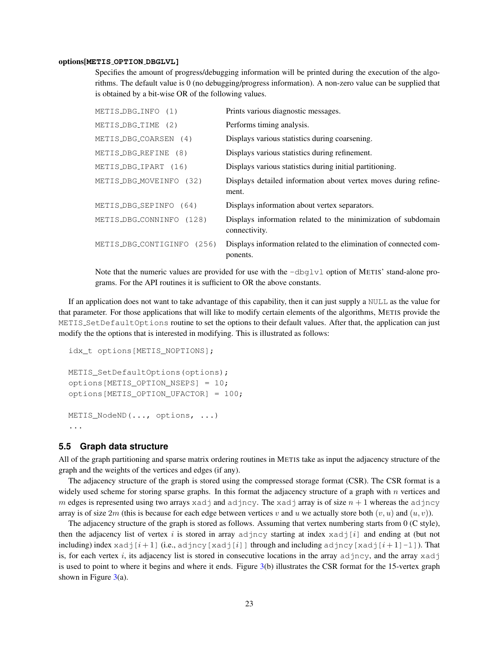#### options[**METIS OPTION DBGLVL]**

Specifies the amount of progress/debugging information will be printed during the execution of the algorithms. The default value is 0 (no debugging/progress information). A non-zero value can be supplied that is obtained by a bit-wise OR of the following values.

| METIS_DBG_INFO (1)         | Prints various diagnostic messages.                                            |
|----------------------------|--------------------------------------------------------------------------------|
| METIS_DBG_TIME (2)         | Performs timing analysis.                                                      |
| METIS_DBG_COARSEN (4)      | Displays various statistics during coarsening.                                 |
| METIS_DBG_REFINE (8)       | Displays various statistics during refinement.                                 |
| METIS_DBG_IPART (16)       | Displays various statistics during initial partitioning.                       |
| METIS_DBG_MOVEINFO (32)    | Displays detailed information about vertex moves during refine-<br>ment.       |
| METIS_DBG_SEPINFO (64)     | Displays information about vertex separators.                                  |
| METIS_DBG_CONNINFO (128)   | Displays information related to the minimization of subdomain<br>connectivity. |
| METIS_DBG_CONTIGINFO (256) | Displays information related to the elimination of connected com-<br>ponents.  |
|                            |                                                                                |

Note that the numeric values are provided for use with the  $-\text{dbqlvl}$  option of METIS' stand-alone programs. For the API routines it is sufficient to OR the above constants.

If an application does not want to take advantage of this capability, then it can just supply a NULL as the value for that parameter. For those applications that will like to modify certain elements of the algorithms, METIS provide the METIS SetDefaultOptions routine to set the options to their default values. After that, the application can just modify the the options that is interested in modifying. This is illustrated as follows:

```
idx_t options[METIS_NOPTIONS];
METIS_SetDefaultOptions(options);
options[METIS_OPTION_NSEPS] = 10;
options[METIS_OPTION_UFACTOR] = 100;
METIS_NodeND(..., options, ...)
...
```
### <span id="page-22-0"></span>**5.5 Graph data structure**

All of the graph partitioning and sparse matrix ordering routines in METIS take as input the adjacency structure of the graph and the weights of the vertices and edges (if any).

The adjacency structure of the graph is stored using the compressed storage format (CSR). The CSR format is a widely used scheme for storing sparse graphs. In this format the adjacency structure of a graph with  $n$  vertices and m edges is represented using two arrays xadj and adjncy. The xadj array is of size  $n + 1$  whereas the adjncy array is of size 2m (this is because for each edge between vertices v and u we actually store both  $(v, u)$  and  $(u, v)$ ).

The adjacency structure of the graph is stored as follows. Assuming that vertex numbering starts from 0 (C style), then the adjacency list of vertex i is stored in array adjncy starting at index  $x$ adj[i] and ending at (but not including) index xadj[ $i+1$ ] (i.e., adjncy[xadj[ $i$ ]] through and including adjncy[xadj[ $i+1$ ]-1]). That is, for each vertex i, its adjacency list is stored in consecutive locations in the array adjncy, and the array xadj is used to point to where it begins and where it ends. Figure [3\(](#page-23-2)b) illustrates the CSR format for the 15-vertex graph shown in Figure  $3(a)$  $3(a)$ .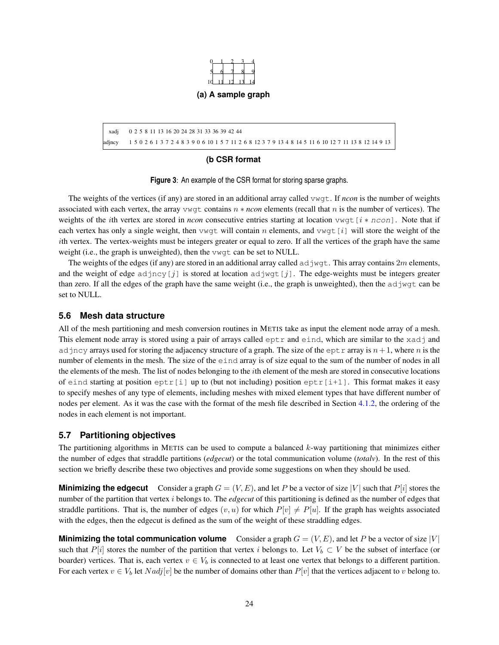

0 2 5 8 11 13 16 20 24 28 31 33 36 39 42 44 1 5 0 2 6 1 3 7 2 4 8 3 9 0 6 10 1 5 7 11 2 6 8 12 3 7 9 13 4 8 14 5 11 6 10 12 7 11 13 8 12 14 9 13 xadj dincy

### <span id="page-23-2"></span>**(b CSR format**



The weights of the vertices (if any) are stored in an additional array called vwgt. If *ncon* is the number of weights associated with each vertex, the array vwgt contains n ∗ *ncon* elements (recall that n is the number of vertices). The weights of the *i*th vertex are stored in *ncon* consecutive entries starting at location vwgt [*i* ∗ *ncon*]. Note that if each vertex has only a single weight, then vwgt will contain n elements, and vwgt [i] will store the weight of the ith vertex. The vertex-weights must be integers greater or equal to zero. If all the vertices of the graph have the same weight (i.e., the graph is unweighted), then the vwgt can be set to NULL.

The weights of the edges (if any) are stored in an additional array called adjwgt. This array contains 2m elements, and the weight of edge adjncy [j] is stored at location adjwgt [j]. The edge-weights must be integers greater than zero. If all the edges of the graph have the same weight (i.e., the graph is unweighted), then the adjwgt can be set to NULL.

# <span id="page-23-0"></span>**5.6 Mesh data structure**

All of the mesh partitioning and mesh conversion routines in METIS take as input the element node array of a mesh. This element node array is stored using a pair of arrays called  $eptr$  and  $e$  ind, which are similar to the xadj and ad jncy arrays used for storing the adjacency structure of a graph. The size of the eptr array is  $n+1$ , where n is the number of elements in the mesh. The size of the eind array is of size equal to the sum of the number of nodes in all the elements of the mesh. The list of nodes belonging to the ith element of the mesh are stored in consecutive locations of eind starting at position eptr[i] up to (but not including) position eptr[i+1]. This format makes it easy to specify meshes of any type of elements, including meshes with mixed element types that have different number of nodes per element. As it was the case with the format of the mesh file described in Section [4.1.2,](#page-9-0) the ordering of the nodes in each element is not important.

# <span id="page-23-1"></span>**5.7 Partitioning objectives**

The partitioning algorithms in METIS can be used to compute a balanced  $k$ -way partitioning that minimizes either the number of edges that straddle partitions (*edgecut*) or the total communication volume (*totalv*). In the rest of this section we briefly describe these two objectives and provide some suggestions on when they should be used.

**Minimizing the edgecut** Consider a graph  $G = (V, E)$ , and let P be a vector of size  $|V|$  such that  $P[i]$  stores the number of the partition that vertex i belongs to. The *edgecut* of this partitioning is defined as the number of edges that straddle partitions. That is, the number of edges  $(v, u)$  for which  $P[v] \neq P[u]$ . If the graph has weights associated with the edges, then the edgecut is defined as the sum of the weight of these straddling edges.

**Minimizing the total communication volume** Consider a graph  $G = (V, E)$ , and let P be a vector of size |V| such that P[i] stores the number of the partition that vertex i belongs to. Let  $V_b \subset V$  be the subset of interface (or boarder) vertices. That is, each vertex  $v \in V_b$  is connected to at least one vertex that belongs to a different partition. For each vertex  $v \in V_b$  let  $Nadj[v]$  be the number of domains other than  $P[v]$  that the vertices adjacent to v belong to.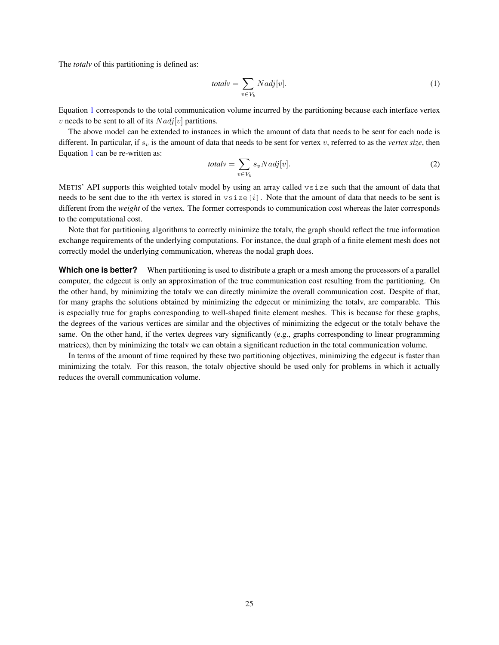The *totalv* of this partitioning is defined as:

<span id="page-24-0"></span>
$$
totalv = \sum_{v \in V_b} Nadj[v].
$$
\n<sup>(1)</sup>

Equation [1](#page-24-0) corresponds to the total communication volume incurred by the partitioning because each interface vertex v needs to be sent to all of its  $Nadj[v]$  partitions.

The above model can be extended to instances in which the amount of data that needs to be sent for each node is different. In particular, if  $s_v$  is the amount of data that needs to be sent for vertex  $v$ , referred to as the *vertex size*, then Equation [1](#page-24-0) can be re-written as:

$$
totalv = \sum_{v \in V_b} s_v Nadj[v]. \tag{2}
$$

METIS' API supports this weighted totalv model by using an array called vsize such that the amount of data that needs to be sent due to the *i*th vertex is stored in  $vsize[i]$ . Note that the amount of data that needs to be sent is different from the *weight* of the vertex. The former corresponds to communication cost whereas the later corresponds to the computational cost.

Note that for partitioning algorithms to correctly minimize the totalv, the graph should reflect the true information exchange requirements of the underlying computations. For instance, the dual graph of a finite element mesh does not correctly model the underlying communication, whereas the nodal graph does.

**Which one is better?** When partitioning is used to distribute a graph or a mesh among the processors of a parallel computer, the edgecut is only an approximation of the true communication cost resulting from the partitioning. On the other hand, by minimizing the totalv we can directly minimize the overall communication cost. Despite of that, for many graphs the solutions obtained by minimizing the edgecut or minimizing the totalv, are comparable. This is especially true for graphs corresponding to well-shaped finite element meshes. This is because for these graphs, the degrees of the various vertices are similar and the objectives of minimizing the edgecut or the totalv behave the same. On the other hand, if the vertex degrees vary significantly (e.g., graphs corresponding to linear programming matrices), then by minimizing the totalv we can obtain a significant reduction in the total communication volume.

In terms of the amount of time required by these two partitioning objectives, minimizing the edgecut is faster than minimizing the totalv. For this reason, the totalv objective should be used only for problems in which it actually reduces the overall communication volume.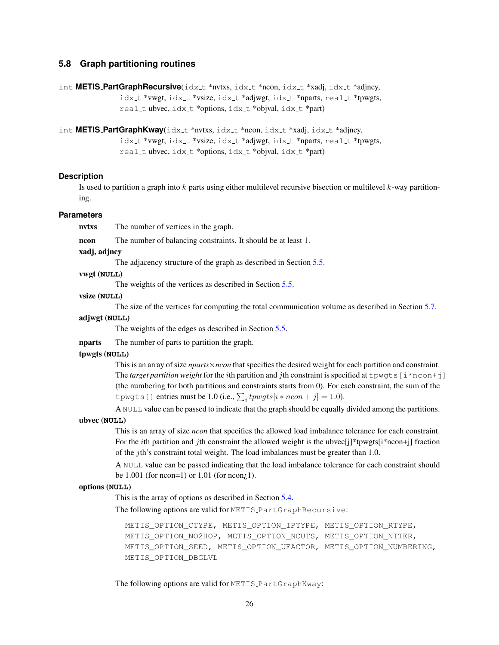# <span id="page-25-1"></span><span id="page-25-0"></span>**5.8 Graph partitioning routines**

int **METIS\_PartGraphRecursive**(idx\_t \*nvtxs, idx\_t \*ncon, idx\_t \*xadj, idx\_t \*adjncy, idx t \*vwgt, idx t \*vsize, idx t \*adjwgt, idx t \*nparts, real t \*tpwgts, real t ubvec, idx t \*options, idx t \*objval, idx t \*part)

int **METIS\_PartGraphKway**(idx\_t \*nvtxs, idx\_t \*ncon, idx\_t \*xadj, idx\_t \*adjncy,

idx t \*vwgt, idx t \*vsize, idx t \*adjwgt, idx t \*nparts, real t \*tpwgts,

real t ubvec, idx t \*options, idx t \*objval, idx t \*part)

#### **Description**

Is used to partition a graph into  $k$  parts using either multilevel recursive bisection or multilevel  $k$ -way partitioning.

# **Parameters**

nvtxs The number of vertices in the graph.

ncon The number of balancing constraints. It should be at least 1.

#### xadj, adjncy

The adjacency structure of the graph as described in Section [5.5.](#page-22-0)

## vwgt (**NULL**)

The weights of the vertices as described in Section [5.5.](#page-22-0)

#### vsize (**NULL**)

The size of the vertices for computing the total communication volume as described in Section [5.7.](#page-23-1)

### adjwgt (**NULL**)

The weights of the edges as described in Section [5.5.](#page-22-0)

nparts The number of parts to partition the graph.

#### tpwgts (**NULL**)

This is an array of size *nparts*×*ncon* that specifies the desired weight for each partition and constraint. The *target partition weight* for the *i*th partition and *j*th constraint is specified at  $\tt{pywgts}$  [i\*ncon+j] (the numbering for both partitions and constraints starts from 0). For each constraint, the sum of the tpwgts [] entries must be 1.0 (i.e.,  $\sum_i trwgts[i * ncon + j] = 1.0$ ).

A NULL value can be passed to indicate that the graph should be equally divided among the partitions.

#### ubvec (**NULL**)

This is an array of size *ncon* that specifies the allowed load imbalance tolerance for each constraint. For the *i*th partition and *j*th constraint the allowed weight is the ubvec[j]\*tpwgts[i\*ncon+j] fraction of the jth's constraint total weight. The load imbalances must be greater than 1.0.

A NULL value can be passed indicating that the load imbalance tolerance for each constraint should be 1.001 (for ncon=1) or 1.01 (for ncon $\chi$ 1).

### options (**NULL**)

This is the array of options as described in Section [5.4.](#page-19-4)

The following options are valid for METIS PartGraphRecursive:

METIS OPTION CTYPE, METIS OPTION IPTYPE, METIS OPTION RTYPE, METIS\_OPTION\_NO2HOP, METIS\_OPTION\_NCUTS, METIS\_OPTION\_NITER, METIS\_OPTION\_SEED, METIS\_OPTION\_UFACTOR, METIS\_OPTION\_NUMBERING, METIS\_OPTION\_DBGLVL

The following options are valid for METIS\_PartGraphKway: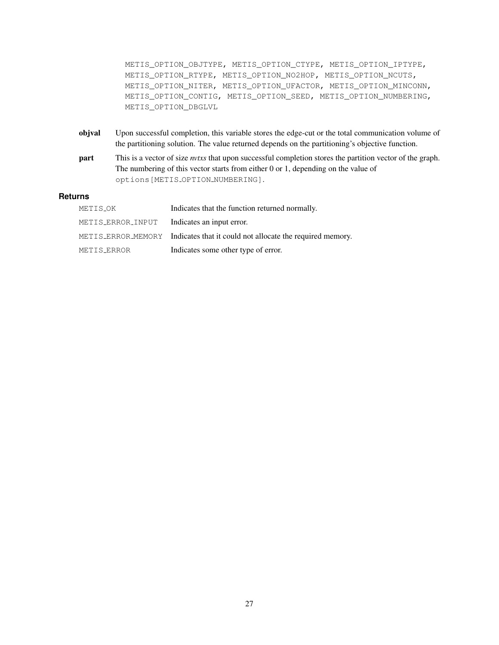METIS\_OPTION\_OBJTYPE, METIS\_OPTION\_CTYPE, METIS\_OPTION\_IPTYPE, METIS\_OPTION\_RTYPE, METIS\_OPTION\_NO2HOP, METIS\_OPTION\_NCUTS, METIS\_OPTION\_NITER, METIS\_OPTION\_UFACTOR, METIS\_OPTION\_MINCONN, METIS\_OPTION\_CONTIG, METIS\_OPTION\_SEED, METIS\_OPTION\_NUMBERING, METIS\_OPTION\_DBGLVL

- objval Upon successful completion, this variable stores the edge-cut or the total communication volume of the partitioning solution. The value returned depends on the partitioning's objective function.
- part This is a vector of size *nvtxs* that upon successful completion stores the partition vector of the graph. The numbering of this vector starts from either 0 or 1, depending on the value of options[METIS OPTION NUMBERING].

| METIS_OK          | Indicates that the function returned normally.                               |
|-------------------|------------------------------------------------------------------------------|
| METIS_ERROR_INPUT | Indicates an input error.                                                    |
|                   | METIS_ERROR_MEMORY Indicates that it could not allocate the required memory. |
| METIS_ERROR       | Indicates some other type of error.                                          |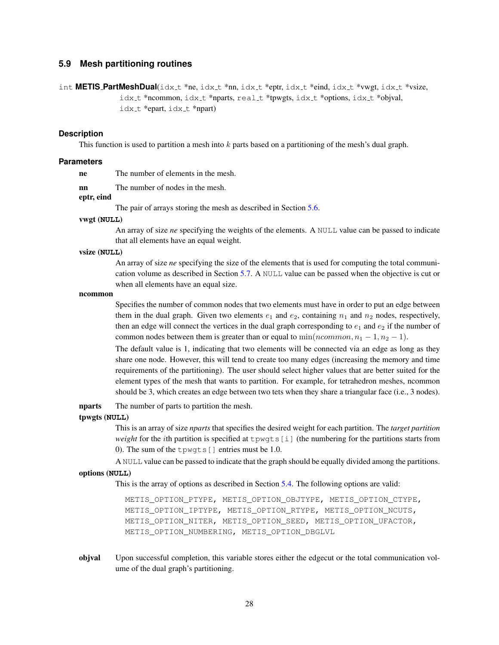# <span id="page-27-1"></span><span id="page-27-0"></span>**5.9 Mesh partitioning routines**

int **METIS PartMeshDual**(idx t \*ne, idx t \*nn, idx t \*eptr, idx t \*eind, idx t \*vwgt, idx t \*vsize, idx t \*ncommon, idx t \*nparts, real t \*tpwgts, idx t \*options, idx t \*objval,  $idx_t *epart, idx_t *npart)$ 

### **Description**

This function is used to partition a mesh into k parts based on a partitioning of the mesh's dual graph.

#### **Parameters**

ne The number of elements in the mesh.

nn The number of nodes in the mesh.

### eptr, eind

The pair of arrays storing the mesh as described in Section [5.6.](#page-23-0)

### vwgt (**NULL**)

An array of size *ne* specifying the weights of the elements. A NULL value can be passed to indicate that all elements have an equal weight.

### vsize (**NULL**)

An array of size *ne* specifying the size of the elements that is used for computing the total communication volume as described in Section [5.7.](#page-23-1) A NULL value can be passed when the objective is cut or when all elements have an equal size.

#### ncommon

Specifies the number of common nodes that two elements must have in order to put an edge between them in the dual graph. Given two elements  $e_1$  and  $e_2$ , containing  $n_1$  and  $n_2$  nodes, respectively, then an edge will connect the vertices in the dual graph corresponding to  $e_1$  and  $e_2$  if the number of common nodes between them is greater than or equal to min $(ncommon, n_1 - 1, n_2 - 1)$ .

The default value is 1, indicating that two elements will be connected via an edge as long as they share one node. However, this will tend to create too many edges (increasing the memory and time requirements of the partitioning). The user should select higher values that are better suited for the element types of the mesh that wants to partition. For example, for tetrahedron meshes, ncommon should be 3, which creates an edge between two tets when they share a triangular face (i.e., 3 nodes).

nparts The number of parts to partition the mesh.

### tpwgts (**NULL**)

This is an array of size *nparts* that specifies the desired weight for each partition. The *target partition weight* for the *i*th partition is specified at  $\tt{pygts[i]}$  (the numbering for the partitions starts from 0). The sum of the tpwgts[] entries must be 1.0.

A NULL value can be passed to indicate that the graph should be equally divided among the partitions.

#### options (**NULL**)

This is the array of options as described in Section [5.4.](#page-19-4) The following options are valid:

METIS\_OPTION\_PTYPE, METIS\_OPTION\_OBJTYPE, METIS\_OPTION\_CTYPE, METIS\_OPTION\_IPTYPE, METIS\_OPTION\_RTYPE, METIS\_OPTION\_NCUTS, METIS\_OPTION\_NITER, METIS\_OPTION\_SEED, METIS\_OPTION\_UFACTOR, METIS\_OPTION\_NUMBERING, METIS\_OPTION\_DBGLVL

objval Upon successful completion, this variable stores either the edgecut or the total communication volume of the dual graph's partitioning.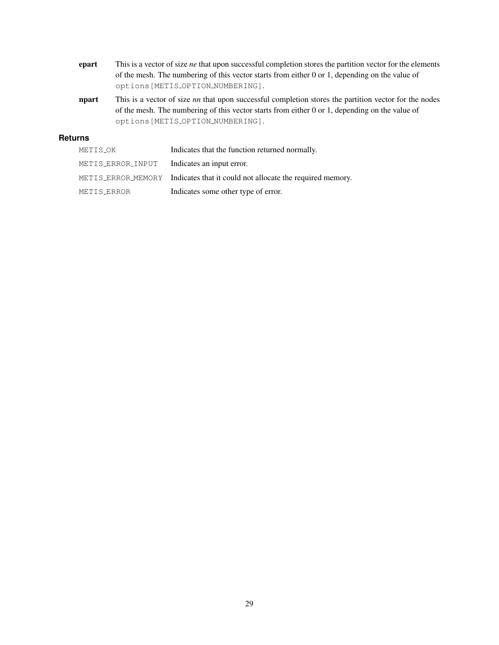- epart This is a vector of size *ne* that upon successful completion stores the partition vector for the elements of the mesh. The numbering of this vector starts from either 0 or 1, depending on the value of options[METIS OPTION NUMBERING].
- npart This is a vector of size *nn* that upon successful completion stores the partition vector for the nodes of the mesh. The numbering of this vector starts from either 0 or 1, depending on the value of options[METIS OPTION NUMBERING].

| METIS_OK                                    | Indicates that the function returned normally.                               |
|---------------------------------------------|------------------------------------------------------------------------------|
| METIS_ERROR_INPUT Indicates an input error. |                                                                              |
|                                             | METIS_ERROR_MEMORY Indicates that it could not allocate the required memory. |
| METIS_ERROR                                 | Indicates some other type of error.                                          |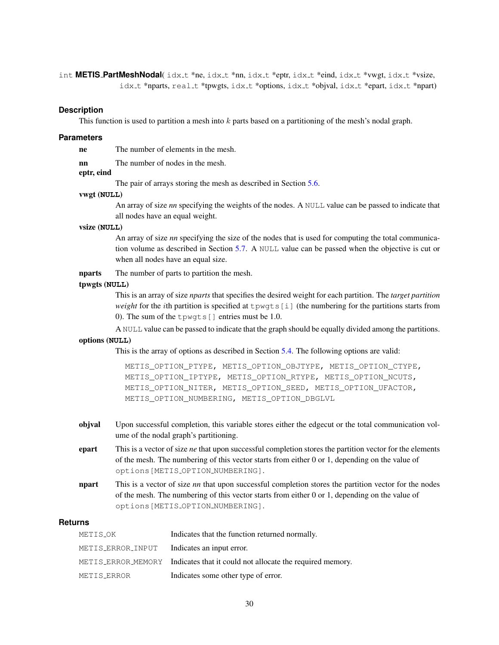int **METIS\_PartMeshNodal**( idx\_t \*ne, idx\_t \*nn, idx\_t \*eptr, idx\_t \*eind, idx\_t \*vwgt, idx\_t \*vsize, idx t \*nparts, real t \*tpwgts, idx t \*options, idx t \*objval, idx t \*epart, idx t \*npart)

#### **Description**

This function is used to partition a mesh into k parts based on a partitioning of the mesh's nodal graph.

#### **Parameters**

- ne The number of elements in the mesh.
- nn The number of nodes in the mesh.

#### eptr, eind

The pair of arrays storing the mesh as described in Section [5.6.](#page-23-0)

#### vwgt (**NULL**)

An array of size *nn* specifying the weights of the nodes. A NULL value can be passed to indicate that all nodes have an equal weight.

#### vsize (**NULL**)

An array of size *nn* specifying the size of the nodes that is used for computing the total communication volume as described in Section [5.7.](#page-23-1) A NULL value can be passed when the objective is cut or when all nodes have an equal size.

nparts The number of parts to partition the mesh.

#### tpwgts (**NULL**)

This is an array of size *nparts* that specifies the desired weight for each partition. The *target partition weight* for the *i*th partition is specified at  $tpwqts[i]$  (the numbering for the partitions starts from 0). The sum of the tpwgts[] entries must be 1.0.

A NULL value can be passed to indicate that the graph should be equally divided among the partitions.

### options (**NULL**)

This is the array of options as described in Section [5.4.](#page-19-4) The following options are valid:

METIS\_OPTION\_PTYPE, METIS\_OPTION\_OBJTYPE, METIS\_OPTION\_CTYPE, METIS\_OPTION\_IPTYPE, METIS\_OPTION\_RTYPE, METIS\_OPTION\_NCUTS, METIS\_OPTION\_NITER, METIS\_OPTION\_SEED, METIS\_OPTION\_UFACTOR, METIS\_OPTION\_NUMBERING, METIS\_OPTION\_DBGLVL

- objval Upon successful completion, this variable stores either the edgecut or the total communication volume of the nodal graph's partitioning.
- epart This is a vector of size *ne* that upon successful completion stores the partition vector for the elements of the mesh. The numbering of this vector starts from either 0 or 1, depending on the value of options[METIS OPTION NUMBERING].
- npart This is a vector of size *nn* that upon successful completion stores the partition vector for the nodes of the mesh. The numbering of this vector starts from either 0 or 1, depending on the value of options[METIS OPTION NUMBERING].

| METIS_OK          | Indicates that the function returned normally.                               |
|-------------------|------------------------------------------------------------------------------|
| METIS_ERROR_INPUT | Indicates an input error.                                                    |
|                   | METIS_ERROR_MEMORY Indicates that it could not allocate the required memory. |
| METIS_ERROR       | Indicates some other type of error.                                          |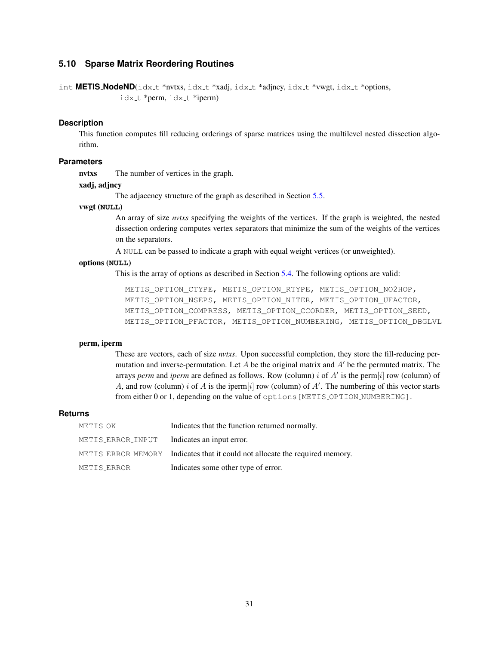# <span id="page-30-1"></span><span id="page-30-0"></span>**5.10 Sparse Matrix Reordering Routines**

```
int METIS_NodeND(idx_t *nvtxs, idx_t *xadj, idx_t *adjncy, idx_t *vwgt, idx_t *options,
                idx_t *perm, idx_t *iperm)
```
#### **Description**

This function computes fill reducing orderings of sparse matrices using the multilevel nested dissection algorithm.

### **Parameters**

nvtxs The number of vertices in the graph.

### xadj, adjncy

The adjacency structure of the graph as described in Section [5.5.](#page-22-0)

### vwgt (**NULL**)

An array of size *nvtxs* specifying the weights of the vertices. If the graph is weighted, the nested dissection ordering computes vertex separators that minimize the sum of the weights of the vertices on the separators.

A NULL can be passed to indicate a graph with equal weight vertices (or unweighted).

#### options (**NULL**)

This is the array of options as described in Section [5.4.](#page-19-4) The following options are valid:

METIS\_OPTION\_CTYPE, METIS\_OPTION\_RTYPE, METIS\_OPTION\_NO2HOP, METIS\_OPTION\_NSEPS, METIS\_OPTION\_NITER, METIS\_OPTION\_UFACTOR, METIS OPTION COMPRESS, METIS OPTION CCORDER, METIS OPTION SEED, METIS\_OPTION\_PFACTOR, METIS\_OPTION\_NUMBERING, METIS\_OPTION\_DBGLVL

#### perm, iperm

These are vectors, each of size *nvtxs*. Upon successful completion, they store the fill-reducing permutation and inverse-permutation. Let A be the original matrix and  $A'$  be the permuted matrix. The arrays *perm* and *iperm* are defined as follows. Row (column) i of  $A'$  is the perm[i] row (column) of A, and row (column) i of A is the iperm[i] row (column) of A'. The numbering of this vector starts from either 0 or 1, depending on the value of options [METIS OPTION NUMBERING].

| METIS_OK          | Indicates that the function returned normally.                               |
|-------------------|------------------------------------------------------------------------------|
| METIS_ERROR_INPUT | Indicates an input error.                                                    |
|                   | METIS_ERROR_MEMORY Indicates that it could not allocate the required memory. |
| METIS_ERROR       | Indicates some other type of error.                                          |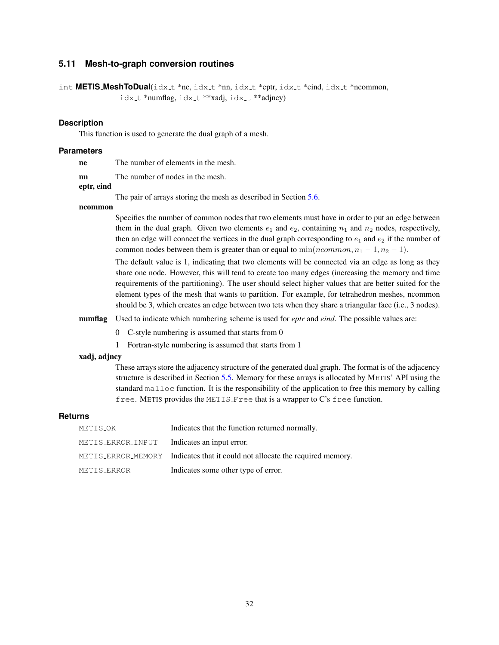# <span id="page-31-1"></span><span id="page-31-0"></span>**5.11 Mesh-to-graph conversion routines**

int **METIS\_MeshToDual**(idx\_t \*ne, idx\_t \*nn, idx\_t \*eptr, idx\_t \*eind, idx\_t \*ncommon, idx\_t \*numflag, idx\_t \*\*xadj, idx\_t \*\*adjncy)

### **Description**

This function is used to generate the dual graph of a mesh.

#### **Parameters**

nn The number of nodes in the mesh.

#### eptr, eind

The pair of arrays storing the mesh as described in Section [5.6.](#page-23-0)

### ncommon

Specifies the number of common nodes that two elements must have in order to put an edge between them in the dual graph. Given two elements  $e_1$  and  $e_2$ , containing  $n_1$  and  $n_2$  nodes, respectively, then an edge will connect the vertices in the dual graph corresponding to  $e_1$  and  $e_2$  if the number of common nodes between them is greater than or equal to  $\min(ncommon, n_1 - 1, n_2 - 1)$ .

The default value is 1, indicating that two elements will be connected via an edge as long as they share one node. However, this will tend to create too many edges (increasing the memory and time requirements of the partitioning). The user should select higher values that are better suited for the element types of the mesh that wants to partition. For example, for tetrahedron meshes, ncommon should be 3, which creates an edge between two tets when they share a triangular face (i.e., 3 nodes).

numflag Used to indicate which numbering scheme is used for *eptr* and *eind*. The possible values are:

- 0 C-style numbering is assumed that starts from 0
- 1 Fortran-style numbering is assumed that starts from 1

#### xadj, adjncy

These arrays store the adjacency structure of the generated dual graph. The format is of the adjacency structure is described in Section [5.5.](#page-22-0) Memory for these arrays is allocated by METIS' API using the standard malloc function. It is the responsibility of the application to free this memory by calling free. METIS provides the METIS Free that is a wrapper to C's free function.

| METIS_OK          | Indicates that the function returned normally.                               |
|-------------------|------------------------------------------------------------------------------|
| METIS_ERROR_INPUT | Indicates an input error.                                                    |
|                   | METIS_ERROR_MEMORY Indicates that it could not allocate the required memory. |
| METIS_ERROR       | Indicates some other type of error.                                          |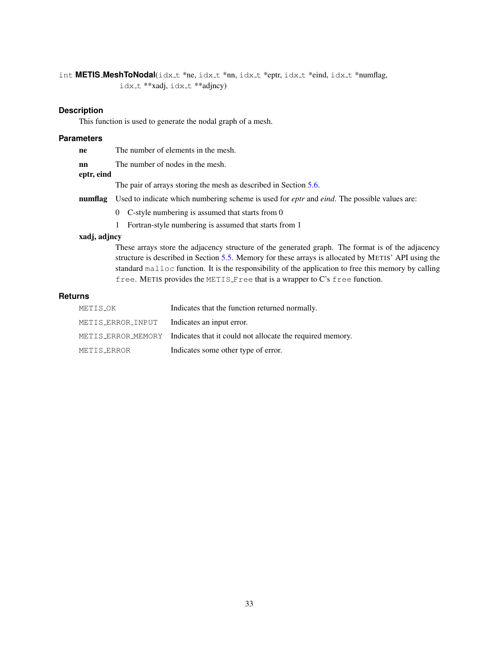# int **METIS\_MeshToNodal**(idx\_t \*ne, idx\_t \*nn, idx\_t \*eptr, idx\_t \*eind, idx\_t \*numflag,  $idx_t$  \*\* $xadj, idx_t$  \*\* $adjncy)$

# **Description**

This function is used to generate the nodal graph of a mesh.

### **Parameters**

nn The number of nodes in the mesh.

# eptr, eind

The pair of arrays storing the mesh as described in Section [5.6.](#page-23-0)

numflag Used to indicate which numbering scheme is used for *eptr* and *eind*. The possible values are:

- 0 C-style numbering is assumed that starts from 0
- 1 Fortran-style numbering is assumed that starts from 1

# xadj, adjncy

These arrays store the adjacency structure of the generated graph. The format is of the adjacency structure is described in Section [5.5.](#page-22-0) Memory for these arrays is allocated by METIS' API using the standard malloc function. It is the responsibility of the application to free this memory by calling free. METIS provides the METIS Free that is a wrapper to C's free function.

| METIS_OK          | Indicates that the function returned normally.                               |
|-------------------|------------------------------------------------------------------------------|
| METIS_ERROR_INPUT | Indicates an input error.                                                    |
|                   | METIS_ERROR_MEMORY Indicates that it could not allocate the required memory. |
| METIS_ERROR       | Indicates some other type of error.                                          |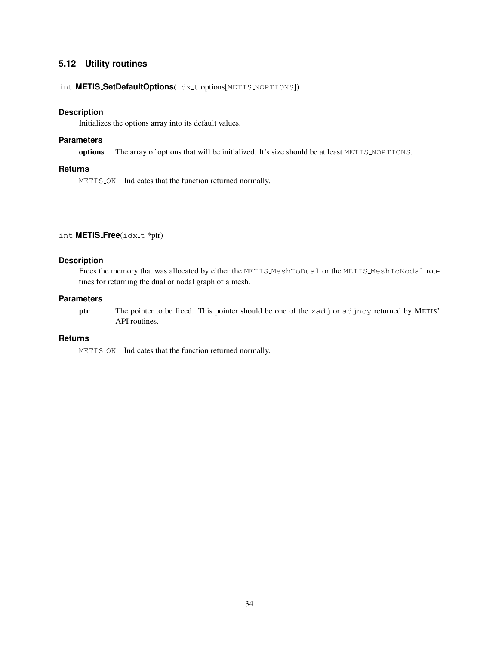# <span id="page-33-1"></span><span id="page-33-0"></span>**5.12 Utility routines**

# int **METIS\_SetDefaultOptions**(idx\_t options[METIS\_NOPTIONS])

# **Description**

Initializes the options array into its default values.

# **Parameters**

options The array of options that will be initialized. It's size should be at least METIS NOPTIONS.

### **Returns**

METIS OK Indicates that the function returned normally.

int **METIS\_Free**(idx\_t \*ptr)

# **Description**

Frees the memory that was allocated by either the METIS MeshToDual or the METIS MeshToNodal routines for returning the dual or nodal graph of a mesh.

### **Parameters**

ptr The pointer to be freed. This pointer should be one of the xadj or adjncy returned by METIS' API routines.

# **Returns**

METIS\_OK Indicates that the function returned normally.